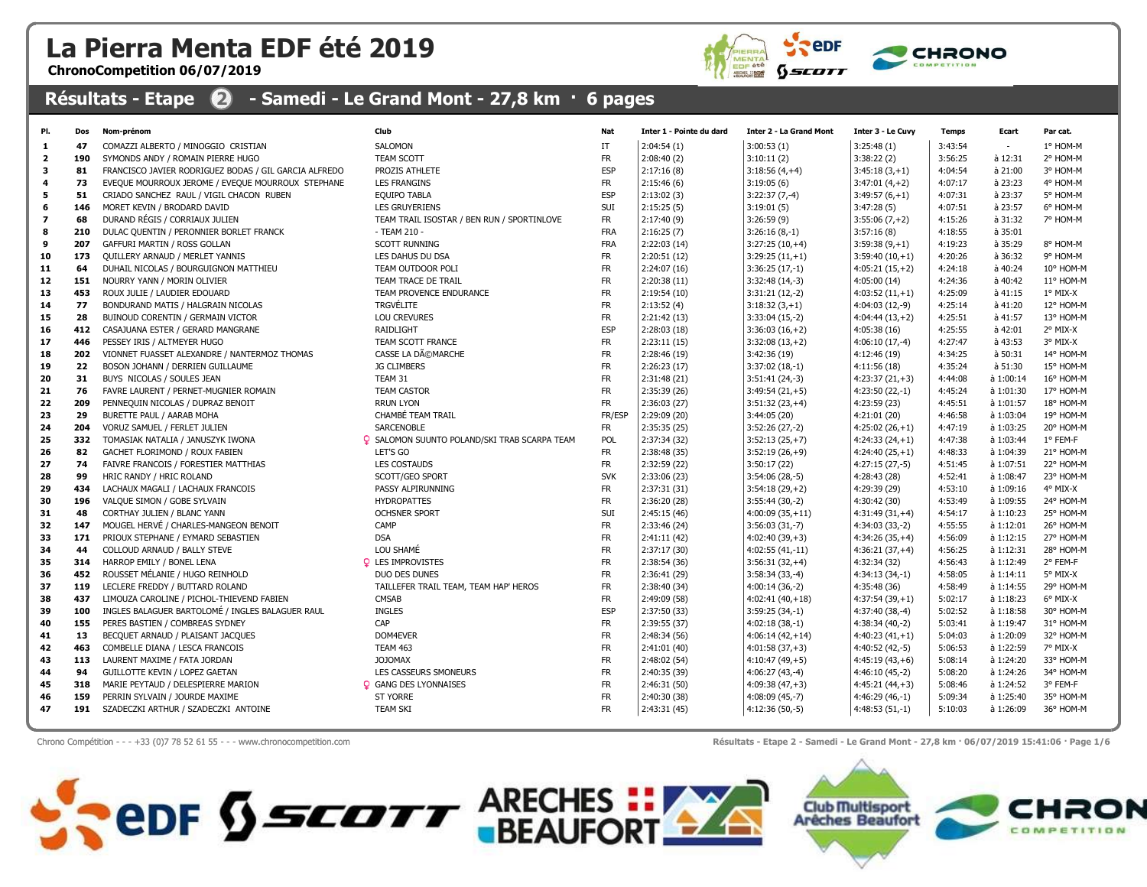## La Pierra Menta EDF été 2019

ChronoCompetition 06/07/2019



## Résultats - Etape  $\bigcirc$  - Samedi - Le Grand Mont - 27,8 km · 6 pages

| PI.                     | Dos | Nom-prénom                                            | Club                                                | <b>Nat</b> | Inter 1 - Pointe du dard | <b>Inter 2 - La Grand Mont</b> | Inter 3 - Le Cuvy | <b>Temps</b> | Ecart       | Par cat.  |
|-------------------------|-----|-------------------------------------------------------|-----------------------------------------------------|------------|--------------------------|--------------------------------|-------------------|--------------|-------------|-----------|
| 1                       | 47  | COMAZZI ALBERTO / MINOGGIO CRISTIAN                   | SALOMON                                             | IT         | 2:04:54(1)               | 3:00:53(1)                     | 3:25:48(1)        | 3:43:54      |             | 1° HOM-M  |
| $\overline{2}$          | 190 | SYMONDS ANDY / ROMAIN PIERRE HUGO                     | TEAM SCOTT                                          | <b>FR</b>  | 2:08:40(2)               | 3:10:11(2)                     | 3:38:22(2)        | 3:56:25      | à 12:31     | 2° HOM-M  |
| 3                       | 81  | FRANCISCO JAVIER RODRIGUEZ BODAS / GIL GARCIA ALFREDO | PROZIS ATHLETE                                      | <b>ESP</b> | 2:17:16(8)               | $3:18:56(4,+4)$                | $3:45:18(3,+1)$   | 4:04:54      | à 21:00     | 3° HOM-M  |
| 4                       | 73  | EVEQUE MOURROUX JEROME / EVEQUE MOURROUX STEPHANE     | <b>LES FRANGINS</b>                                 | <b>FR</b>  | 2:15:46(6)               | 3:19:05(6)                     | $3:47:01(4,+2)$   | 4:07:17      | à 23:23     | 4° HOM-M  |
| 5                       | 51  | CRIADO SANCHEZ RAUL / VIGIL CHACON RUBEN              | <b>EQUIPO TABLA</b>                                 | <b>ESP</b> | 2:13:02(3)               | $3:22:37(7,-4)$                | $3:49:57(6,+1)$   | 4:07:31      | à 23:37     | 5° HOM-M  |
| 6                       | 146 | MORET KEVIN / BRODARD DAVID                           | <b>LES GRUYERIENS</b>                               | SUI        | 2:15:25(5)               | 3:19:01(5)                     | 3:47:28(5)        | 4:07:51      | à 23:57     | 6° HOM-M  |
| $\overline{\mathbf{z}}$ | 68  | DURAND RÉGIS / CORRIAUX JULIEN                        | TEAM TRAIL ISOSTAR / BEN RUN / SPORTINLOVE          | <b>FR</b>  | 2:17:40(9)               | 3:26:59(9)                     | $3:55:06(7,+2)$   | 4:15:26      | à 31:32     | 7° HOM-M  |
| 8                       | 210 | DULAC QUENTIN / PERONNIER BORLET FRANCK               | - TEAM 210 -                                        | <b>FRA</b> | 2:16:25(7)               | $3:26:16(8,-1)$                | 3:57:16(8)        | 4:18:55      | à 35:01     |           |
| 9                       | 207 | GAFFURI MARTIN / ROSS GOLLAN                          | <b>SCOTT RUNNING</b>                                | <b>FRA</b> | 2:22:03(14)              | $3:27:25(10,+4)$               | $3:59:38(9,+1)$   | 4:19:23      | à 35:29     | 8° HOM-M  |
| 10                      | 173 | <b>QUILLERY ARNAUD / MERLET YANNIS</b>                | LES DAHUS DU DSA                                    | <b>FR</b>  | 2:20:51 (12)             | $3:29:25(11,+1)$               | $3:59:40(10,+1)$  | 4:20:26      | à 36:32     | 9° HOM-M  |
| 11                      | 64  | DUHAIL NICOLAS / BOURGUIGNON MATTHIEU                 | TEAM OUTDOOR POLI                                   | <b>FR</b>  | 2:24:07 (16)             | $3:36:25(17,-1)$               | $4:05:21(15,+2)$  | 4:24:18      | à 40:24     | 10° HOM-M |
| 12                      | 151 | NOURRY YANN / MORIN OLIVIER                           | TEAM TRACE DE TRAIL                                 | <b>FR</b>  | 2:20:38(11)              | $3:32:48(14,-3)$               | 4:05:00(14)       | 4:24:36      | à 40:42     | 11° HOM-M |
| 13                      | 453 | ROUX JULIE / LAUDIER EDOUARD                          | TEAM PROVENCE ENDURANCE                             | <b>FR</b>  | 2:19:54(10)              | $3:31:21(12,-2)$               | $4:03:52(11,+1)$  | 4:25:09      | $a$ 41:15   | 1° MIX-X  |
| 14                      | 77  | BONDURAND MATIS / HALGRAIN NICOLAS                    | <b>TRGVÉLITE</b>                                    | <b>FR</b>  | 2:13:52(4)               | $3:18:32(3,+1)$                | 4:04:03 (12,-9)   | 4:25:14      | à 41:20     | 12° HOM-M |
| 15                      | 28  | BUINOUD CORENTIN / GERMAIN VICTOR                     | <b>LOU CREVURES</b>                                 | <b>FR</b>  | 2:21:42(13)              | $3:33:04(15,-2)$               | $4:04:44(13,+2)$  | 4:25:51      | à 41:57     | 13° HOM-M |
| 16                      | 412 | CASAJUANA ESTER / GERARD MANGRANE                     | RAIDLIGHT                                           | <b>ESP</b> | 2:28:03(18)              | $3:36:03(16,+2)$               | 4:05:38(16)       | 4:25:55      | à 42:01     | 2° MIX-X  |
| 17                      | 446 | PESSEY IRIS / ALTMEYER HUGO                           | TEAM SCOTT FRANCE                                   | <b>FR</b>  | 2:23:11(15)              | $3:32:08(13,+2)$               | $4:06:10(17,-4)$  | 4:27:47      | à 43:53     | 3° MIX-X  |
| 18                      | 202 | VIONNET FUASSET ALEXANDRE / NANTERMOZ THOMAS          | CASSE LA DéMARCHE                                   | <b>FR</b>  | 2:28:46(19)              | 3:42:36(19)                    | 4:12:46(19)       | 4:34:25      | à 50:31     | 14° HOM-M |
| 19                      | 22  | BOSON JOHANN / DERRIEN GUILLAUME                      | <b>JG CLIMBERS</b>                                  | <b>FR</b>  | 2:26:23(17)              | $3:37:02(18,-1)$               | 4:11:56(18)       | 4:35:24      | à 51:30     | 15° HOM-M |
| 20                      | 31  | BUYS NICOLAS / SOULES JEAN                            | TEAM 31                                             | <b>FR</b>  | 2:31:48(21)              | $3:51:41(24,-3)$               | $4:23:37(21,+3)$  | 4:44:08      | à 1:00:14   | 16° HOM-M |
| 21                      | 76  | FAVRE LAURENT / PERNET-MUGNIER ROMAIN                 | <b>TEAM CASTOR</b>                                  | <b>FR</b>  | 2:35:39 (26)             | $3:49:54(21,+5)$               | $4:23:50(22,-1)$  | 4:45:24      | à 1:01:30   | 17° HOM-M |
| 22                      | 209 | PENNEQUIN NICOLAS / DUPRAZ BENOIT                     | <b>RRUN LYON</b>                                    | <b>FR</b>  | 2:36:03(27)              | $3:51:32(23,+4)$               | 4:23:59 (23)      | 4:45:51      | à 1:01:57   | 18° HOM-M |
| 23                      | 29  | BURETTE PAUL / AARAB MOHA                             | CHAMBÉ TEAM TRAIL                                   | FR/ESP     | 2:29:09 (20)             | 3:44:05(20)                    | 4:21:01(20)       | 4:46:58      | à 1:03:04   | 19° HOM-M |
| 24                      | 204 | VORUZ SAMUEL / FERLET JULIEN                          | SARCENOBLE                                          | <b>FR</b>  | 2:35:35 (25)             | $3:52:26(27,-2)$               | $4:25:02(26,+1)$  | 4:47:19      | à 1:03:25   | 20° HOM-M |
| 25                      | 332 | TOMASIAK NATALIA / JANUSZYK IWONA                     | <b>Q</b> SALOMON SUUNTO POLAND/SKI TRAB SCARPA TEAM | POL        | 2:37:34 (32)             | $3:52:13(25,+7)$               | $4:24:33(24,+1)$  | 4:47:38      | à 1:03:44   | 1° FEM-F  |
| 26                      | 82  | GACHET FLORIMOND / ROUX FABIEN                        | LET'S GO                                            | <b>FR</b>  | 2:38:48 (35)             | $3:52:19(26,+9)$               | $4:24:40(25,+1)$  | 4:48:33      | à 1:04:39   | 21° HOM-M |
| 27                      | 74  | FAIVRE FRANCOIS / FORESTIER MATTHIAS                  | <b>LES COSTAUDS</b>                                 | <b>FR</b>  | 2:32:59 (22)             | 3:50:17(22)                    | $4:27:15(27,-5)$  | 4:51:45      | à 1:07:51   | 22° HOM-M |
| 28                      | 99  | HRIC RANDY / HRIC ROLAND                              | SCOTT/GEO SPORT                                     | <b>SVK</b> | 2:33:06 (23)             | $3:54:06(28,-5)$               | 4:28:43 (28)      | 4:52:41      | à 1:08:47   | 23° HOM-M |
| 29                      | 434 | LACHAUX MAGALI / LACHAUX FRANCOIS                     | PASSY ALPIRUNNING                                   | <b>FR</b>  | 2:37:31 (31)             | $3:54:18(29,+2)$               | 4:29:39 (29)      | 4:53:10      | à 1:09:16   | 4° MIX-X  |
| 30                      | 196 | VALQUE SIMON / GOBE SYLVAIN                           | <b>HYDROPATTES</b>                                  | <b>FR</b>  | 2:36:20 (28)             | $3:55:44(30,-2)$               | 4:30:42 (30)      | 4:53:49      | à 1:09:55   | 24° HOM-M |
| 31                      | 48  | CORTHAY JULIEN / BLANC YANN                           | <b>OCHSNER SPORT</b>                                | SUI        | 2:45:15 (46)             | $4:00:09(35,+11)$              | $4:31:49(31,+4)$  | 4:54:17      | à 1:10:23   | 25° HOM-M |
| 32                      | 147 | MOUGEL HERVÉ / CHARLES-MANGEON BENOIT                 | CAMP                                                | <b>FR</b>  | 2:33:46 (24)             | $3:56:03(31,-7)$               | $4:34:03(33,-2)$  | 4:55:55      | à 1:12:01   | 26° HOM-M |
| 33                      | 171 | PRIOUX STEPHANE / EYMARD SEBASTIEN                    | <b>DSA</b>                                          | <b>FR</b>  | 2:41:11 (42)             | $4:02:40(39,+3)$               | $4:34:26(35,+4)$  | 4:56:09      | à 1:12:15   | 27° HOM-M |
| 34                      | 44  | COLLOUD ARNAUD / BALLY STEVE                          | LOU SHAMÉ                                           | <b>FR</b>  | 2:37:17(30)              | $4:02:55(41,-11)$              | $4:36:21(37,+4)$  | 4:56:25      | à 1:12:31   | 28° HOM-M |
| 35                      | 314 | HARROP EMILY / BONEL LENA                             | <b>Q</b> LES IMPROVISTES                            | <b>FR</b>  | 2:38:54(36)              | $3:56:31(32,+4)$               | 4:32:34 (32)      | 4:56:43      | à 1:12:49   | 2° FEM-F  |
| 36                      | 452 | ROUSSET MÉLANIE / HUGO REINHOLD                       | DUO DES DUNES                                       | <b>FR</b>  | 2:36:41 (29)             | $3:58:34(33,-4)$               | $4:34:13(34,-1)$  | 4:58:05      | $a$ 1:14:11 | 5° MIX-X  |
| 37                      | 119 | LECLERE FREDDY / BUTTARD ROLAND                       | TAILLEFER TRAIL TEAM, TEAM HAP' HEROS               | <b>FR</b>  | 2:38:40 (34)             | $4:00:14(36,-2)$               | 4:35:48 (36)      | 4:58:49      | à 1:14:55   | 29° HOM-M |
| 38                      | 437 | LIMOUZA CAROLINE / PICHOL-THIEVEND FABIEN             | CMSAB                                               | <b>FR</b>  | 2:49:09 (58)             | $4:02:41(40,+18)$              | $4:37:54(39,+1)$  | 5:02:17      | à 1:18:23   | 6° MIX-X  |
| 39                      | 100 | INGLES BALAGUER BARTOLOMÉ / INGLES BALAGUER RAUL      | <b>INGLES</b>                                       | ESP        | 2:37:50 (33)             | $3:59:25(34,-1)$               | $4:37:40(38,-4)$  | 5:02:52      | à 1:18:58   | 30° HOM-M |
| 40                      | 155 | PERES BASTIEN / COMBREAS SYDNEY                       | CAP                                                 | <b>FR</b>  | 2:39:55 (37)             | $4:02:18(38,-1)$               | $4:38:34(40,-2)$  | 5:03:41      | à 1:19:47   | 31° HOM-M |
| 41                      | 13  | BECQUET ARNAUD / PLAISANT JACQUES                     | DOM4EVER                                            | <b>FR</b>  | 2:48:34 (56)             | $4:06:14(42,+14)$              | $4:40:23(41,+1)$  | 5:04:03      | à 1:20:09   | 32° HOM-M |
| 42                      | 463 | COMBELLE DIANA / LESCA FRANCOIS                       | <b>TEAM 463</b>                                     | <b>FR</b>  | 2:41:01 (40)             | $4:01:58(37,+3)$               | $4:40:52(42,-5)$  | 5:06:53      | à 1:22:59   | 7° MIX-X  |
| 43                      | 113 | LAURENT MAXIME / FATA JORDAN                          | <b>JOJOMAX</b>                                      | <b>FR</b>  | 2:48:02 (54)             | $4:10:47(49,+5)$               | $4:45:19(43,+6)$  | 5:08:14      | à 1:24:20   | 33° HOM-M |
| 44                      | 94  | GUILLOTTE KEVIN / LOPEZ GAETAN                        | LES CASSEURS SMONEURS                               | <b>FR</b>  | 2:40:35 (39)             | $4:06:27(43,-4)$               | $4:46:10(45,-2)$  | 5:08:20      | à 1:24:26   | 34° HOM-M |
| 45                      | 318 | MARIE PEYTAUD / DELESPIERRE MARION                    | <b>Q</b> GANG DES LYONNAISES                        | <b>FR</b>  | 2:46:31 (50)             | $4:09:38(47,+3)$               | $4:45:21(44,+3)$  | 5:08:46      | à 1:24:52   | 3° FEM-F  |
| 46                      | 159 | PERRIN SYLVAIN / JOURDE MAXIME                        | <b>ST YORRE</b>                                     | <b>FR</b>  | 2:40:30 (38)             | $4:08:09(45,-7)$               | 4:46:29 (46,-1)   | 5:09:34      | à 1:25:40   | 35° HOM-M |
| 47                      | 191 | SZADECZKI ARTHUR / SZADECZKI ANTOINE                  | <b>TEAM SKI</b>                                     | <b>FR</b>  | 2:43:31(45)              | $4:12:36(50,-5)$               | $4:48:53(51,-1)$  | 5:10:03      | à 1:26:09   | 36° HOM-M |

Chrono Compétition - - - +33 (0)7 78 52 61 55 - - - www.chronocompetition.com **Résultats - Etape 2 - Samedi - Le Grand Mont - 27,8 km · 06/07/2019 15:41:06 · Page 1/6** 

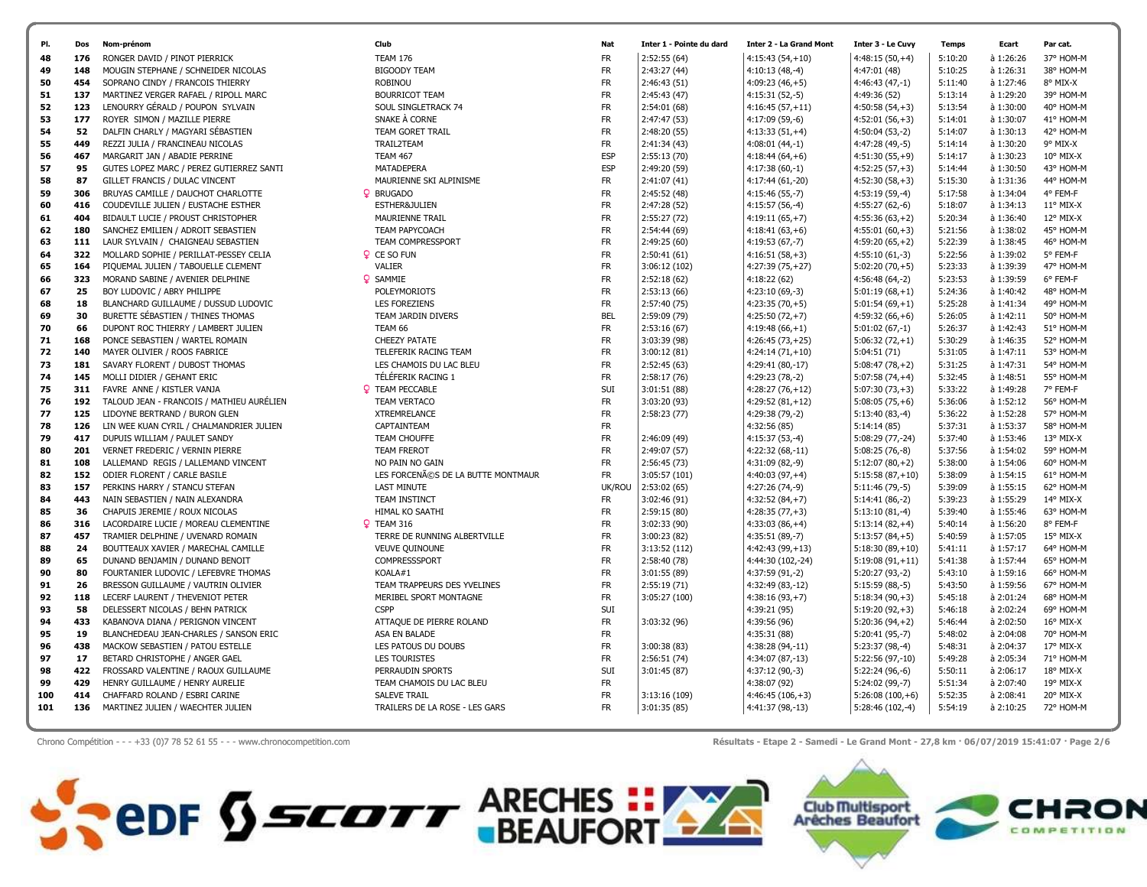

Chrono Compétition - - - +33 (0)7 78 52 61 55 - - - www.chronocompetition.com exercise exercise exercise and mont - 27,8 km · 06/07/2019 15:41:07 · Page 2/6

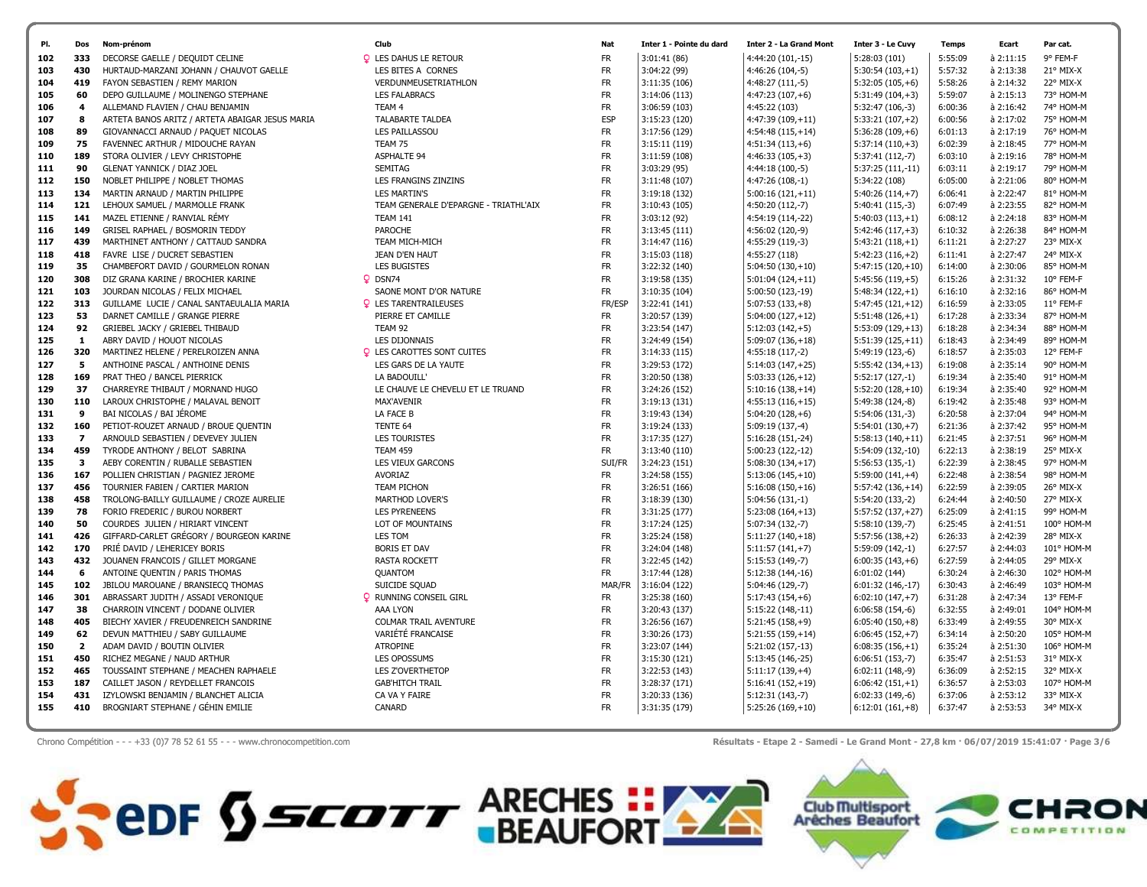

Chrono Compétition - - - +33 (0)7 78 52 61 55 - - - www.chronocompetition.com <br>
Résultats - Etape 2 - Samedi - Le Grand Mont - 27,8 km · 06/07/2019 15:41:07 · Page 3/6

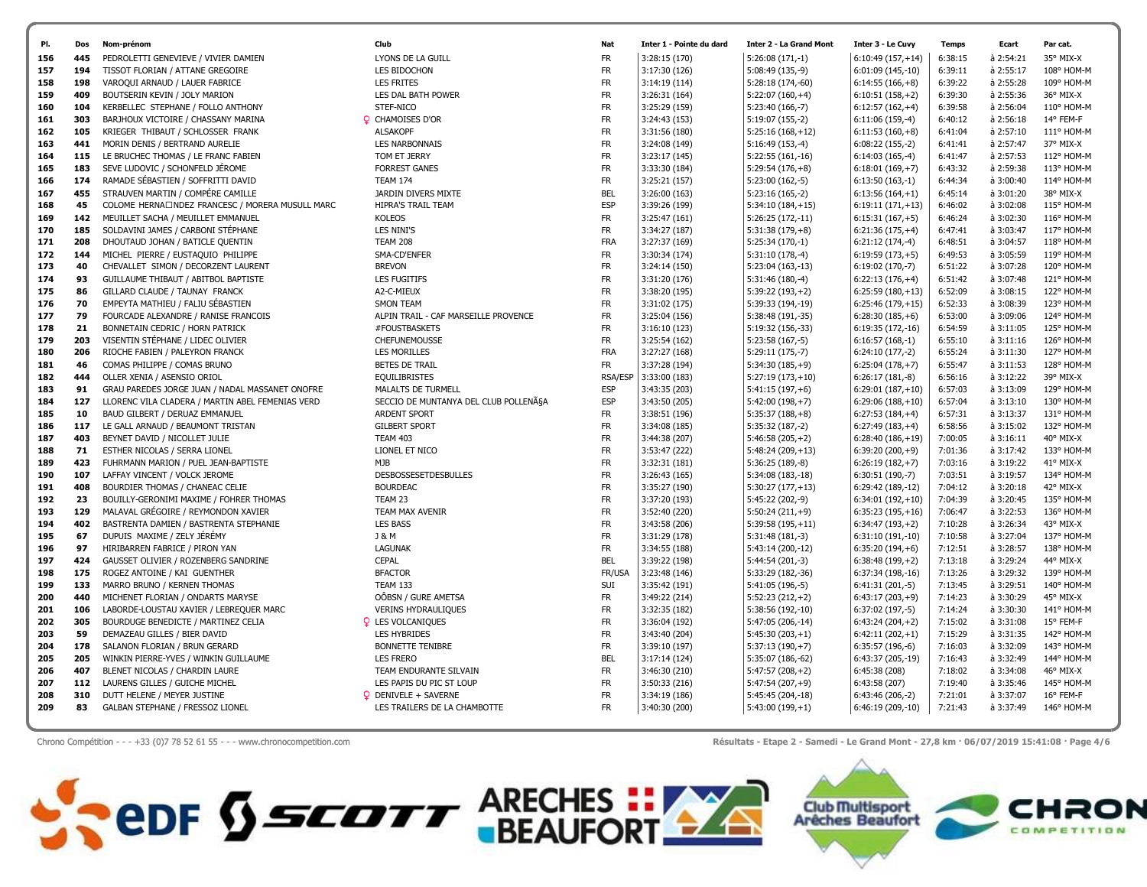

Chrono Compétition - - - +33 (0)7 78 52 61 55 - - - www.chronocompetition.com exercise and Résultats - Etape 2 - Samedi - Le Grand Mont - 27,8 km · 06/07/2019 15:41:08 · Page 4/6

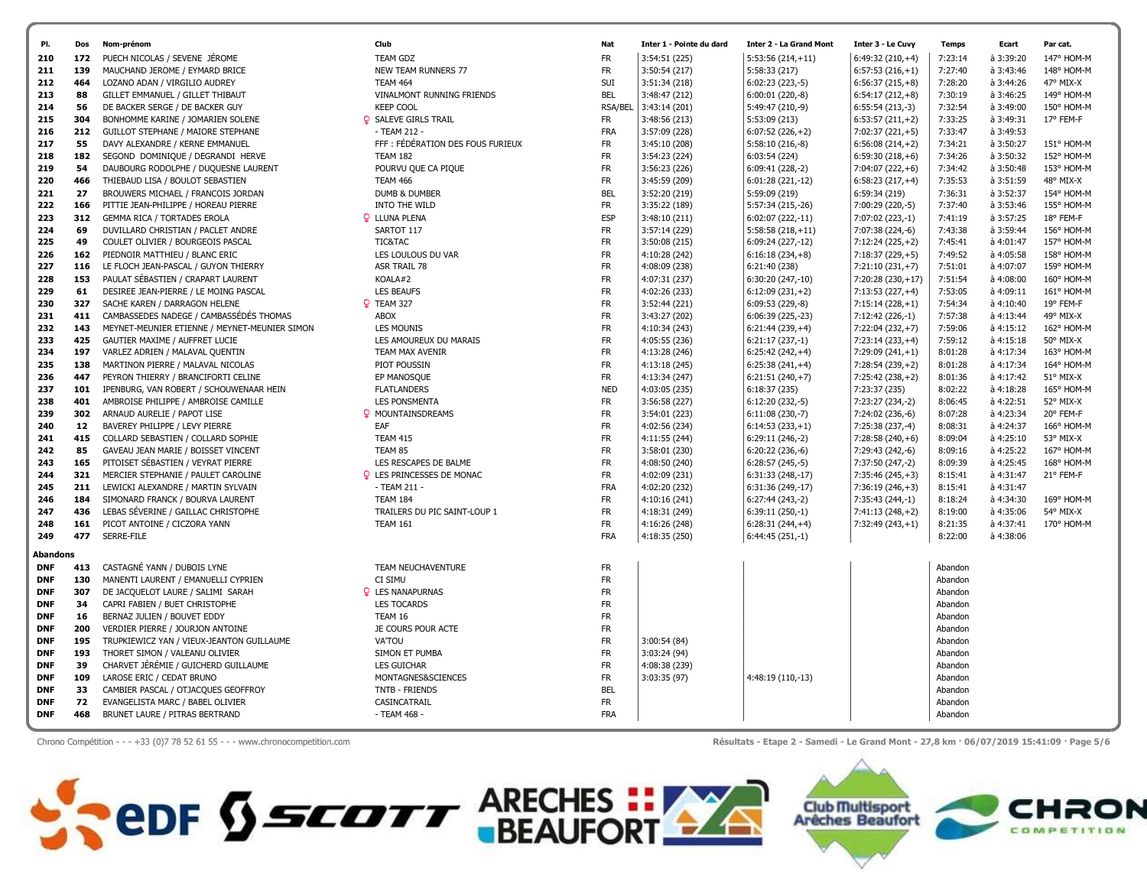| PUECH NICOLAS / SEVENE JÉROME<br>172<br><b>TEAM GDZ</b><br><b>FR</b><br>3:54:51 (225)<br>$5:53:56(214,+11)$<br>$6:49:32(210,+4)$<br>7:23:14<br>à 3:39:20<br>147° HOM-M<br>210<br>MAUCHAND JEROME / EYMARD BRICE<br>211<br>139<br>NEW TEAM RUNNERS 77<br><b>FR</b><br>3:50:54 (217)<br>5:58:33 (217)<br>$6:57:53(216,+1)$<br>7:27:40<br>à 3:43:46<br>148° HOM-M<br>SUI<br>$6:02:23(223,-5)$<br>47° MIX-X<br>464<br>LOZANO ADAN / VIRGILIO AUDREY<br>TEAM 464<br>3:51:34 (218)<br>$6:56:37(215,+8)$<br>7:28:20<br>$a$ 3:44:26<br>212<br>VINALMONT RUNNING FRIENDS<br><b>BEL</b><br>3:48:47 (212)<br>6:00:01 (220,-8)<br>$6:54:17(212,+8)$<br>à 3:46:25<br>213<br>88<br>GILLET EMMANUEL / GILLET THIBAUT<br>7:30:19<br>149° HOM-M<br><b>KEEP COOL</b><br>56<br>DE BACKER SERGE / DE BACKER GUY<br><b>RSA/BEL</b><br>3:43:14(201)<br>5:49:47 (210,-9)<br>$6:55:54(213,-3)$<br>7:32:54<br>à 3:49:00<br>150° HOM-M<br>214<br>304<br><b>Q</b> SALEVE GIRLS TRAIL<br><b>FR</b><br>7:33:25<br>à 3:49:31<br>17° FEM-F<br>BONHOMME KARINE / JOMARIEN SOLENE<br>3:48:56 (213)<br>5:53:09 (213)<br>$6:53:57(211,+2)$<br>215<br>- TEAM 212 -<br><b>FRA</b><br>3:57:09 (228)<br>$6:07:52(226,+2)$<br>7:02:37 (221,+5)<br>7:33:47<br>$a$ 3:49:53<br>216<br>212<br>GUILLOT STEPHANE / MAIORE STEPHANE<br>FFF : FÉDÉRATION DES FOUS FURIEUX<br><b>FR</b><br>55<br>DAVY ALEXANDRE / KERNE EMMANUEL<br>3:45:10 (208)<br>$5:58:10(216,-8)$<br>$6:56:08(214,+2)$<br>7:34:21<br>à 3:50:27<br>151° HOM-M<br>217<br>182<br><b>TEAM 182</b><br><b>FR</b><br>3:54:23 (224)<br>6:03:54(224)<br>7:34:26<br>à 3:50:32<br>152° HOM-M<br>218<br>SEGOND DOMINIQUE / DEGRANDI HERVE<br>$6:59:30(218,+6)$<br><b>FR</b><br>3:56:23 (226)<br>$6:09:41(228,-2)$<br>7:04:07 (222,+6)<br>$a$ 3:50:48<br>219<br>54<br>DAUBOURG RODOLPHE / DUQUESNE LAURENT<br>POURVU QUE CA PIQUE<br>7:34:42<br>153° HOM-M<br>466<br>THIEBAUD LISA / BOULOT SEBASTIEN<br><b>TEAM 466</b><br><b>FR</b><br>3:45:59 (209)<br>6:01:28 (221,-12)<br>$6:58:23(217,+4)$<br>7:35:53<br>à 3:51:59<br>48° MIX-X<br>220<br>27<br><b>DUMB &amp; DUMBER</b><br><b>BEL</b><br>3:52:20 (219)<br>5:59:09 (219)<br>6:59:34 (219)<br>7:36:31<br>à 3:52:37<br>154° HOM-M<br>221<br>BROUWERS MICHAEL / FRANCOIS JORDAN<br>INTO THE WILD<br><b>FR</b><br>3:35:22 (189)<br>5:57:34 (215,-26)<br>7:00:29 (220,-5)<br>7:37:40<br>à 3:53:46<br>222<br>166<br>PITTIE JEAN-PHILIPPE / HOREAU PIERRE<br>155° HOM-M<br>312<br>GEMMA RICA / TORTADES EROLA<br><b>Q</b> LLUNA PLENA<br><b>ESP</b><br>3:48:10 (211)<br>$6:02:07(222,-11)$<br>7:07:02 (223,-1)<br>7:41:19<br>à 3:57:25<br>18° FEM-F<br>223<br><b>FR</b><br>7:07:38 (224,-6)<br>224<br>69<br>DUVILLARD CHRISTIAN / PACLET ANDRE<br>SARTOT 117<br>3:57:14 (229)<br>$5:58:58(218,+11)$<br>7:43:38<br>à 3:59:44<br>156° HOM-M<br>49<br>COULET OLIVIER / BOURGEOIS PASCAL<br>TIC&TAC<br><b>FR</b><br>3:50:08 (215)<br>$6:09:24(227,-12)$<br>$7:12:24(225,+2)$<br>7:45:41<br>à 4:01:47<br>225<br>157° HOM-M<br><b>FR</b><br>162<br>PIEDNOIR MATTHIEU / BLANC ERIC<br>LES LOULOUS DU VAR<br>4:10:28 (242)<br>$6:16:18(234,+8)$<br>$7:18:37(229,+5)$<br>7:49:52<br>à 4:05:58<br>158° HOM-M<br>226<br>LE FLOCH JEAN-PASCAL / GUYON THIERRY<br><b>FR</b><br>4:08:09 (238)<br>6:21:40 (238)<br>$7:21:10(231,+7)$<br>227<br>116<br>ASR TRAIL 78<br>7:51:01<br>à 4:07:07<br>159° HOM-M<br><b>FR</b><br>153<br>PAULAT SÉBASTIEN / CRAPART LAURENT<br>KOALA#2<br>4:07:31 (237)<br>$6:30:20(247,-10)$<br>7:20:28 (230, +17)<br>7:51:54<br>à 4:08:00<br>228<br>160° HOM-M<br><b>FR</b><br>61<br>DESIREE JEAN-PIERRE / LE MOING PASCAL<br><b>LES BEAUFS</b><br>4:02:26 (233)<br>$6:12:09(231,+2)$<br>$7:13:53(227,+4)$<br>7:53:05<br>229<br>à 4:09:11<br>161° HOM-M<br>327<br>SACHE KAREN / DARRAGON HELENE<br><b>Q</b> TEAM 327<br><b>FR</b><br>3:52:44 (221)<br>6:09:53 (229,-8)<br>$7:15:14(228,+1)$<br>230<br>7:54:34<br>à 4:10:40<br>19° FEM-F<br>231<br>411<br>CAMBASSEDES NADEGE / CAMBASSÉDÉS THOMAS<br><b>ABOX</b><br><b>FR</b><br>3:43:27 (202)<br>6:06:39 (225,-23)<br>7:12:42 (226,-1)<br>7:57:38<br>à 4:13:44<br>49° MIX-X<br><b>FR</b><br>143<br>MEYNET-MEUNIER ETIENNE / MEYNET-MEUNIER SIMON<br><b>LES MOUNIS</b><br>4:10:34 (243)<br>$6:21:44(239,+4)$<br>7:22:04 (232,+7)<br>162° HOM-M<br>232<br>7:59:06<br>à 4:15:12<br><b>FR</b><br>233<br>425<br>GAUTIER MAXIME / AUFFRET LUCIE<br>LES AMOUREUX DU MARAIS<br>4:05:55 (236)<br>$6:21:17(237,-1)$<br>$7:23:14(233,+4)$<br>7:59:12<br>à 4:15:18<br>50° MIX-X<br>197<br>VARLEZ ADRIEN / MALAVAL QUENTIN<br>TEAM MAX AVENIR<br><b>FR</b><br>4:13:28 (246)<br>$6:25:42(242,+4)$<br>$7:29:09(241,+1)$<br>8:01:28<br>à 4:17:34<br>163° HOM-M<br>234<br><b>FR</b><br>235<br>138<br>MARTINON PIERRE / MALAVAL NICOLAS<br>PIOT POUSSIN<br>4:13:18 (245)<br>$6:25:38(241,+4)$<br>$7:28:54(239,+2)$<br>à 4:17:34<br>164° HOM-M<br>8:01:28<br><b>FR</b><br>236<br>447<br>PEYRON THIERRY / BRANCIFORTI CELINE<br>EP MANOSQUE<br>4:13:34 (247)<br>$6:21:51(240,+7)$<br>7:25:42 (238, +2)<br>8:01:36<br>à 4:17:42<br>51° MIX-X<br>237<br>101<br>IPENBURG, VAN ROBERT / SCHOUWENAAR HEIN<br><b>FLATLANDERS</b><br><b>NED</b><br>4:03:05 (235)<br>6:18:37(235)<br>7:23:37 (235)<br>8:02:22<br>à 4:18:28<br>165° HOM-M<br><b>FR</b><br>238<br>401<br>AMBROISE PHILIPPE / AMBROISE CAMILLE<br>LES PONSMENTA<br>3:56:58 (227)<br>$6:12:20(232,-5)$<br>7:23:27 (234,-2)<br>8:06:45<br>à 4:22:51<br>52° MIX-X<br><b>FR</b><br>$6:11:08(230,-7)$<br>239<br>302<br>ARNAUD AURELIE / PAPOT LISE<br><b>2 MOUNTAINSDREAMS</b><br>3:54:01 (223)<br>7:24:02 (236,-6)<br>8:07:28<br>à 4:23:34<br>20° FEM-F<br>12<br>EAF<br><b>FR</b><br>4:02:56 (234)<br>$6:14:53(233,+1)$<br>7:25:38 (237,-4)<br>à 4:24:37<br>166° HOM-M<br>240<br>BAVEREY PHILIPPE / LEVY PIERRE<br>8:08:31<br>415<br><b>FR</b><br>COLLARD SEBASTIEN / COLLARD SOPHIE<br><b>TEAM 415</b><br>4:11:55 (244)<br>$6:29:11(246,-2)$<br>$7:28:58(240,+6)$<br>8:09:04<br>à 4:25:10<br>53° MIX-X<br>241<br><b>FR</b><br>$6:20:22(236,-6)$<br>85<br>GAVEAU JEAN MARIE / BOISSET VINCENT<br>TEAM 85<br>3:58:01 (230)<br>7:29:43 (242,-6)<br>à 4:25:22<br>167° HOM-M<br>242<br>8:09:16<br>165<br>PITOISET SÉBASTIEN / VEYRAT PIERRE<br>LES RESCAPES DE BALME<br><b>FR</b><br>4:08:50 (240)<br>$6:28:57(245,-5)$<br>7:37:50 (247,-2)<br>à 4:25:45<br>243<br>8:09:39<br>168° HOM-M<br>321<br>MERCIER STEPHANIE / PAULET CAROLINE<br><b>Q</b> LES PRINCESSES DE MONAC<br><b>FR</b><br>4:02:09 (231)<br>6:31:33 (248,-17)<br>7:35:46 (245,+3)<br>8:15:41<br>à 4:31:47<br>21° FEM-F<br>244<br>211<br>LEWICKI ALEXANDRE / MARTIN SYLVAIN<br>- TEAM 211 -<br><b>FRA</b><br>4:02:20 (232)<br>6:31:36 (249,-17)<br>$7:36:19(246,+3)$<br>8:15:41<br>à 4:31:47<br>245<br>184<br><b>FR</b><br>246<br>SIMONARD FRANCK / BOURVA LAURENT<br>TEAM 184<br>4:10:16 (241)<br>$6:27:44(243,-2)$<br>7:35:43 (244,-1)<br>8:18:24<br>à 4:34:30<br>169° HOM-M<br>LEBAS SÉVERINE / GAILLAC CHRISTOPHE<br>436<br>TRAILERS DU PIC SAINT-LOUP 1<br><b>FR</b><br>4:18:31 (249)<br>6:39:11 (250,-1)<br>$7:41:13(248,+2)$<br>8:19:00<br>à 4:35:06<br>54° MIX-X<br>247<br>PICOT ANTOINE / CICZORA YANN<br><b>FR</b><br>à 4:37:41<br>161<br><b>TEAM 161</b><br>4:16:26 (248)<br>$6:28:31(244,+4)$<br>$7:32:49(243,+1)$<br>8:21:35<br>170° HOM-M<br>248<br>477<br>SERRE-FILE<br><b>FRA</b><br>249<br>4:18:35 (250)<br>$6:44:45(251,-1)$<br>8:22:00<br>à 4:38:06<br>Abandons<br>CASTAGNÉ YANN / DUBOIS LYNE<br><b>FR</b><br>TEAM NEUCHAVENTURE<br>413<br>Abandon<br><b>DNF</b><br>FR.<br>MANENTI LAURENT / EMANUELLI CYPRIEN<br>CI SIMU<br>130<br>Abandon<br><b>DNF</b><br>307<br>DE JACQUELOT LAURE / SALIMI SARAH<br><b>Q</b> LES NANAPURNAS<br><b>FR</b><br><b>DNF</b><br>Abandon<br>34<br>CAPRI FABIEN / BUET CHRISTOPHE<br><b>LES TOCARDS</b><br><b>FR</b><br><b>DNF</b><br>Abandon<br><b>FR</b><br>16<br>BERNAZ JULIEN / BOUVET EDDY<br>TEAM 16<br>Abandon<br><b>DNF</b><br><b>FR</b><br>200<br>VERDIER PIERRE / JOURJON ANTOINE<br>JE COURS POUR ACTE<br>Abandon<br><b>DNF</b><br>195<br>TRUPKIEWICZ YAN / VIEUX-JEANTON GUILLAUME<br>VA'TOU<br><b>FR</b><br>3:00:54 (84)<br><b>DNF</b><br>Abandon<br>193<br>THORET SIMON / VALEANU OLIVIER<br><b>FR</b><br>3:03:24 (94)<br>SIMON ET PUMBA<br>Abandon<br><b>DNF</b><br><b>FR</b><br>39<br>CHARVET JÉRÉMIE / GUICHERD GUILLAUME<br><b>LES GUICHAR</b><br>4:08:38 (239)<br>Abandon<br><b>DNF</b><br>109<br>LAROSE ERIC / CEDAT BRUNO<br>MONTAGNES&SCIENCES<br>FR<br>3:03:35 (97)<br>4:48:19 (110,-13)<br><b>DNF</b><br>Abandon<br>33<br>CAMBIER PASCAL / OTJACQUES GEOFFROY<br><b>BEL</b><br>TNTB - FRIENDS<br>Abandon<br><b>DNF</b><br>72<br><b>FR</b><br><b>DNF</b><br>EVANGELISTA MARC / BABEL OLIVIER<br>CASINCATRAIL<br>Abandon<br><b>DNF</b><br>468<br>BRUNET LAURE / PITRAS BERTRAND<br>- TEAM 468 -<br><b>FRA</b><br>Abandon | PI. | Dos | Nom-prénom | Club | Nat | Inter 1 - Pointe du dard | Inter 2 - La Grand Mont | Inter 3 - Le Cuvy | <b>Temps</b> | Ecart | Par cat. |
|---------------------------------------------------------------------------------------------------------------------------------------------------------------------------------------------------------------------------------------------------------------------------------------------------------------------------------------------------------------------------------------------------------------------------------------------------------------------------------------------------------------------------------------------------------------------------------------------------------------------------------------------------------------------------------------------------------------------------------------------------------------------------------------------------------------------------------------------------------------------------------------------------------------------------------------------------------------------------------------------------------------------------------------------------------------------------------------------------------------------------------------------------------------------------------------------------------------------------------------------------------------------------------------------------------------------------------------------------------------------------------------------------------------------------------------------------------------------------------------------------------------------------------------------------------------------------------------------------------------------------------------------------------------------------------------------------------------------------------------------------------------------------------------------------------------------------------------------------------------------------------------------------------------------------------------------------------------------------------------------------------------------------------------------------------------------------------------------------------------------------------------------------------------------------------------------------------------------------------------------------------------------------------------------------------------------------------------------------------------------------------------------------------------------------------------------------------------------------------------------------------------------------------------------------------------------------------------------------------------------------------------------------------------------------------------------------------------------------------------------------------------------------------------------------------------------------------------------------------------------------------------------------------------------------------------------------------------------------------------------------------------------------------------------------------------------------------------------------------------------------------------------------------------------------------------------------------------------------------------------------------------------------------------------------------------------------------------------------------------------------------------------------------------------------------------------------------------------------------------------------------------------------------------------------------------------------------------------------------------------------------------------------------------------------------------------------------------------------------------------------------------------------------------------------------------------------------------------------------------------------------------------------------------------------------------------------------------------------------------------------------------------------------------------------------------------------------------------------------------------------------------------------------------------------------------------------------------------------------------------------------------------------------------------------------------------------------------------------------------------------------------------------------------------------------------------------------------------------------------------------------------------------------------------------------------------------------------------------------------------------------------------------------------------------------------------------------------------------------------------------------------------------------------------------------------------------------------------------------------------------------------------------------------------------------------------------------------------------------------------------------------------------------------------------------------------------------------------------------------------------------------------------------------------------------------------------------------------------------------------------------------------------------------------------------------------------------------------------------------------------------------------------------------------------------------------------------------------------------------------------------------------------------------------------------------------------------------------------------------------------------------------------------------------------------------------------------------------------------------------------------------------------------------------------------------------------------------------------------------------------------------------------------------------------------------------------------------------------------------------------------------------------------------------------------------------------------------------------------------------------------------------------------------------------------------------------------------------------------------------------------------------------------------------------------------------------------------------------------------------------------------------------------------------------------------------------------------------------------------------------------------------------------------------------------------------------------------------------------------------------------------------------------------------------------------------------------------------------------------------------------------------------------------------------------------------------------------------------------------------------------------------------------------------------------------------------------------------------------------------------------------------------------------------------------------------------------------------------------------------------------------------------------------------------------------------------------------------------------------------------------------------------------------------------------------------------------------------------------------------------------------------------------------------------------------------------------------------------------------------------------------------------------------------------------------------------------------------------------------------------------------------------------------------------------------------------------------------------------------------------------------------------------------------------------------------------------------------------------------------------------------------------------------------------------------------------------------------------------------------------------------------------------------------------------------------------------------------------------------------------------------------------------------------------------------------------------------------------------------------------------------------------------------------------------------------------------------------------------------------------------------------------------------------------------------------------------------------------------------------------------------------------------------------------------------------------------------------------------------------------------------------------------------------------------------------------------------------------------------------------------------------------------------------------------|-----|-----|------------|------|-----|--------------------------|-------------------------|-------------------|--------------|-------|----------|
|                                                                                                                                                                                                                                                                                                                                                                                                                                                                                                                                                                                                                                                                                                                                                                                                                                                                                                                                                                                                                                                                                                                                                                                                                                                                                                                                                                                                                                                                                                                                                                                                                                                                                                                                                                                                                                                                                                                                                                                                                                                                                                                                                                                                                                                                                                                                                                                                                                                                                                                                                                                                                                                                                                                                                                                                                                                                                                                                                                                                                                                                                                                                                                                                                                                                                                                                                                                                                                                                                                                                                                                                                                                                                                                                                                                                                                                                                                                                                                                                                                                                                                                                                                                                                                                                                                                                                                                                                                                                                                                                                                                                                                                                                                                                                                                                                                                                                                                                                                                                                                                                                                                                                                                                                                                                                                                                                                                                                                                                                                                                                                                                                                                                                                                                                                                                                                                                                                                                                                                                                                                                                                                                                                                                                                                                                                                                                                                                                                                                                                                                                                                                                                                                                                                                                                                                                                                                                                                                                                                                                                                                                                                                                                                                                                                                                                                                                                                                                                                                                                                                                                                                                                                                                                                                                                                                                                                                                                                                                                                                                                                                                                                                                                                                                                                                                                                                                                                                                                                                                                                                                                                                                                                                                                                                                                                                         |     |     |            |      |     |                          |                         |                   |              |       |          |
|                                                                                                                                                                                                                                                                                                                                                                                                                                                                                                                                                                                                                                                                                                                                                                                                                                                                                                                                                                                                                                                                                                                                                                                                                                                                                                                                                                                                                                                                                                                                                                                                                                                                                                                                                                                                                                                                                                                                                                                                                                                                                                                                                                                                                                                                                                                                                                                                                                                                                                                                                                                                                                                                                                                                                                                                                                                                                                                                                                                                                                                                                                                                                                                                                                                                                                                                                                                                                                                                                                                                                                                                                                                                                                                                                                                                                                                                                                                                                                                                                                                                                                                                                                                                                                                                                                                                                                                                                                                                                                                                                                                                                                                                                                                                                                                                                                                                                                                                                                                                                                                                                                                                                                                                                                                                                                                                                                                                                                                                                                                                                                                                                                                                                                                                                                                                                                                                                                                                                                                                                                                                                                                                                                                                                                                                                                                                                                                                                                                                                                                                                                                                                                                                                                                                                                                                                                                                                                                                                                                                                                                                                                                                                                                                                                                                                                                                                                                                                                                                                                                                                                                                                                                                                                                                                                                                                                                                                                                                                                                                                                                                                                                                                                                                                                                                                                                                                                                                                                                                                                                                                                                                                                                                                                                                                                                                         |     |     |            |      |     |                          |                         |                   |              |       |          |
|                                                                                                                                                                                                                                                                                                                                                                                                                                                                                                                                                                                                                                                                                                                                                                                                                                                                                                                                                                                                                                                                                                                                                                                                                                                                                                                                                                                                                                                                                                                                                                                                                                                                                                                                                                                                                                                                                                                                                                                                                                                                                                                                                                                                                                                                                                                                                                                                                                                                                                                                                                                                                                                                                                                                                                                                                                                                                                                                                                                                                                                                                                                                                                                                                                                                                                                                                                                                                                                                                                                                                                                                                                                                                                                                                                                                                                                                                                                                                                                                                                                                                                                                                                                                                                                                                                                                                                                                                                                                                                                                                                                                                                                                                                                                                                                                                                                                                                                                                                                                                                                                                                                                                                                                                                                                                                                                                                                                                                                                                                                                                                                                                                                                                                                                                                                                                                                                                                                                                                                                                                                                                                                                                                                                                                                                                                                                                                                                                                                                                                                                                                                                                                                                                                                                                                                                                                                                                                                                                                                                                                                                                                                                                                                                                                                                                                                                                                                                                                                                                                                                                                                                                                                                                                                                                                                                                                                                                                                                                                                                                                                                                                                                                                                                                                                                                                                                                                                                                                                                                                                                                                                                                                                                                                                                                                                                         |     |     |            |      |     |                          |                         |                   |              |       |          |
|                                                                                                                                                                                                                                                                                                                                                                                                                                                                                                                                                                                                                                                                                                                                                                                                                                                                                                                                                                                                                                                                                                                                                                                                                                                                                                                                                                                                                                                                                                                                                                                                                                                                                                                                                                                                                                                                                                                                                                                                                                                                                                                                                                                                                                                                                                                                                                                                                                                                                                                                                                                                                                                                                                                                                                                                                                                                                                                                                                                                                                                                                                                                                                                                                                                                                                                                                                                                                                                                                                                                                                                                                                                                                                                                                                                                                                                                                                                                                                                                                                                                                                                                                                                                                                                                                                                                                                                                                                                                                                                                                                                                                                                                                                                                                                                                                                                                                                                                                                                                                                                                                                                                                                                                                                                                                                                                                                                                                                                                                                                                                                                                                                                                                                                                                                                                                                                                                                                                                                                                                                                                                                                                                                                                                                                                                                                                                                                                                                                                                                                                                                                                                                                                                                                                                                                                                                                                                                                                                                                                                                                                                                                                                                                                                                                                                                                                                                                                                                                                                                                                                                                                                                                                                                                                                                                                                                                                                                                                                                                                                                                                                                                                                                                                                                                                                                                                                                                                                                                                                                                                                                                                                                                                                                                                                                                                         |     |     |            |      |     |                          |                         |                   |              |       |          |
|                                                                                                                                                                                                                                                                                                                                                                                                                                                                                                                                                                                                                                                                                                                                                                                                                                                                                                                                                                                                                                                                                                                                                                                                                                                                                                                                                                                                                                                                                                                                                                                                                                                                                                                                                                                                                                                                                                                                                                                                                                                                                                                                                                                                                                                                                                                                                                                                                                                                                                                                                                                                                                                                                                                                                                                                                                                                                                                                                                                                                                                                                                                                                                                                                                                                                                                                                                                                                                                                                                                                                                                                                                                                                                                                                                                                                                                                                                                                                                                                                                                                                                                                                                                                                                                                                                                                                                                                                                                                                                                                                                                                                                                                                                                                                                                                                                                                                                                                                                                                                                                                                                                                                                                                                                                                                                                                                                                                                                                                                                                                                                                                                                                                                                                                                                                                                                                                                                                                                                                                                                                                                                                                                                                                                                                                                                                                                                                                                                                                                                                                                                                                                                                                                                                                                                                                                                                                                                                                                                                                                                                                                                                                                                                                                                                                                                                                                                                                                                                                                                                                                                                                                                                                                                                                                                                                                                                                                                                                                                                                                                                                                                                                                                                                                                                                                                                                                                                                                                                                                                                                                                                                                                                                                                                                                                                                         |     |     |            |      |     |                          |                         |                   |              |       |          |
|                                                                                                                                                                                                                                                                                                                                                                                                                                                                                                                                                                                                                                                                                                                                                                                                                                                                                                                                                                                                                                                                                                                                                                                                                                                                                                                                                                                                                                                                                                                                                                                                                                                                                                                                                                                                                                                                                                                                                                                                                                                                                                                                                                                                                                                                                                                                                                                                                                                                                                                                                                                                                                                                                                                                                                                                                                                                                                                                                                                                                                                                                                                                                                                                                                                                                                                                                                                                                                                                                                                                                                                                                                                                                                                                                                                                                                                                                                                                                                                                                                                                                                                                                                                                                                                                                                                                                                                                                                                                                                                                                                                                                                                                                                                                                                                                                                                                                                                                                                                                                                                                                                                                                                                                                                                                                                                                                                                                                                                                                                                                                                                                                                                                                                                                                                                                                                                                                                                                                                                                                                                                                                                                                                                                                                                                                                                                                                                                                                                                                                                                                                                                                                                                                                                                                                                                                                                                                                                                                                                                                                                                                                                                                                                                                                                                                                                                                                                                                                                                                                                                                                                                                                                                                                                                                                                                                                                                                                                                                                                                                                                                                                                                                                                                                                                                                                                                                                                                                                                                                                                                                                                                                                                                                                                                                                                                         |     |     |            |      |     |                          |                         |                   |              |       |          |
|                                                                                                                                                                                                                                                                                                                                                                                                                                                                                                                                                                                                                                                                                                                                                                                                                                                                                                                                                                                                                                                                                                                                                                                                                                                                                                                                                                                                                                                                                                                                                                                                                                                                                                                                                                                                                                                                                                                                                                                                                                                                                                                                                                                                                                                                                                                                                                                                                                                                                                                                                                                                                                                                                                                                                                                                                                                                                                                                                                                                                                                                                                                                                                                                                                                                                                                                                                                                                                                                                                                                                                                                                                                                                                                                                                                                                                                                                                                                                                                                                                                                                                                                                                                                                                                                                                                                                                                                                                                                                                                                                                                                                                                                                                                                                                                                                                                                                                                                                                                                                                                                                                                                                                                                                                                                                                                                                                                                                                                                                                                                                                                                                                                                                                                                                                                                                                                                                                                                                                                                                                                                                                                                                                                                                                                                                                                                                                                                                                                                                                                                                                                                                                                                                                                                                                                                                                                                                                                                                                                                                                                                                                                                                                                                                                                                                                                                                                                                                                                                                                                                                                                                                                                                                                                                                                                                                                                                                                                                                                                                                                                                                                                                                                                                                                                                                                                                                                                                                                                                                                                                                                                                                                                                                                                                                                                                         |     |     |            |      |     |                          |                         |                   |              |       |          |
|                                                                                                                                                                                                                                                                                                                                                                                                                                                                                                                                                                                                                                                                                                                                                                                                                                                                                                                                                                                                                                                                                                                                                                                                                                                                                                                                                                                                                                                                                                                                                                                                                                                                                                                                                                                                                                                                                                                                                                                                                                                                                                                                                                                                                                                                                                                                                                                                                                                                                                                                                                                                                                                                                                                                                                                                                                                                                                                                                                                                                                                                                                                                                                                                                                                                                                                                                                                                                                                                                                                                                                                                                                                                                                                                                                                                                                                                                                                                                                                                                                                                                                                                                                                                                                                                                                                                                                                                                                                                                                                                                                                                                                                                                                                                                                                                                                                                                                                                                                                                                                                                                                                                                                                                                                                                                                                                                                                                                                                                                                                                                                                                                                                                                                                                                                                                                                                                                                                                                                                                                                                                                                                                                                                                                                                                                                                                                                                                                                                                                                                                                                                                                                                                                                                                                                                                                                                                                                                                                                                                                                                                                                                                                                                                                                                                                                                                                                                                                                                                                                                                                                                                                                                                                                                                                                                                                                                                                                                                                                                                                                                                                                                                                                                                                                                                                                                                                                                                                                                                                                                                                                                                                                                                                                                                                                                                         |     |     |            |      |     |                          |                         |                   |              |       |          |
|                                                                                                                                                                                                                                                                                                                                                                                                                                                                                                                                                                                                                                                                                                                                                                                                                                                                                                                                                                                                                                                                                                                                                                                                                                                                                                                                                                                                                                                                                                                                                                                                                                                                                                                                                                                                                                                                                                                                                                                                                                                                                                                                                                                                                                                                                                                                                                                                                                                                                                                                                                                                                                                                                                                                                                                                                                                                                                                                                                                                                                                                                                                                                                                                                                                                                                                                                                                                                                                                                                                                                                                                                                                                                                                                                                                                                                                                                                                                                                                                                                                                                                                                                                                                                                                                                                                                                                                                                                                                                                                                                                                                                                                                                                                                                                                                                                                                                                                                                                                                                                                                                                                                                                                                                                                                                                                                                                                                                                                                                                                                                                                                                                                                                                                                                                                                                                                                                                                                                                                                                                                                                                                                                                                                                                                                                                                                                                                                                                                                                                                                                                                                                                                                                                                                                                                                                                                                                                                                                                                                                                                                                                                                                                                                                                                                                                                                                                                                                                                                                                                                                                                                                                                                                                                                                                                                                                                                                                                                                                                                                                                                                                                                                                                                                                                                                                                                                                                                                                                                                                                                                                                                                                                                                                                                                                                                         |     |     |            |      |     |                          |                         |                   |              |       |          |
|                                                                                                                                                                                                                                                                                                                                                                                                                                                                                                                                                                                                                                                                                                                                                                                                                                                                                                                                                                                                                                                                                                                                                                                                                                                                                                                                                                                                                                                                                                                                                                                                                                                                                                                                                                                                                                                                                                                                                                                                                                                                                                                                                                                                                                                                                                                                                                                                                                                                                                                                                                                                                                                                                                                                                                                                                                                                                                                                                                                                                                                                                                                                                                                                                                                                                                                                                                                                                                                                                                                                                                                                                                                                                                                                                                                                                                                                                                                                                                                                                                                                                                                                                                                                                                                                                                                                                                                                                                                                                                                                                                                                                                                                                                                                                                                                                                                                                                                                                                                                                                                                                                                                                                                                                                                                                                                                                                                                                                                                                                                                                                                                                                                                                                                                                                                                                                                                                                                                                                                                                                                                                                                                                                                                                                                                                                                                                                                                                                                                                                                                                                                                                                                                                                                                                                                                                                                                                                                                                                                                                                                                                                                                                                                                                                                                                                                                                                                                                                                                                                                                                                                                                                                                                                                                                                                                                                                                                                                                                                                                                                                                                                                                                                                                                                                                                                                                                                                                                                                                                                                                                                                                                                                                                                                                                                                                         |     |     |            |      |     |                          |                         |                   |              |       |          |
|                                                                                                                                                                                                                                                                                                                                                                                                                                                                                                                                                                                                                                                                                                                                                                                                                                                                                                                                                                                                                                                                                                                                                                                                                                                                                                                                                                                                                                                                                                                                                                                                                                                                                                                                                                                                                                                                                                                                                                                                                                                                                                                                                                                                                                                                                                                                                                                                                                                                                                                                                                                                                                                                                                                                                                                                                                                                                                                                                                                                                                                                                                                                                                                                                                                                                                                                                                                                                                                                                                                                                                                                                                                                                                                                                                                                                                                                                                                                                                                                                                                                                                                                                                                                                                                                                                                                                                                                                                                                                                                                                                                                                                                                                                                                                                                                                                                                                                                                                                                                                                                                                                                                                                                                                                                                                                                                                                                                                                                                                                                                                                                                                                                                                                                                                                                                                                                                                                                                                                                                                                                                                                                                                                                                                                                                                                                                                                                                                                                                                                                                                                                                                                                                                                                                                                                                                                                                                                                                                                                                                                                                                                                                                                                                                                                                                                                                                                                                                                                                                                                                                                                                                                                                                                                                                                                                                                                                                                                                                                                                                                                                                                                                                                                                                                                                                                                                                                                                                                                                                                                                                                                                                                                                                                                                                                                                         |     |     |            |      |     |                          |                         |                   |              |       |          |
|                                                                                                                                                                                                                                                                                                                                                                                                                                                                                                                                                                                                                                                                                                                                                                                                                                                                                                                                                                                                                                                                                                                                                                                                                                                                                                                                                                                                                                                                                                                                                                                                                                                                                                                                                                                                                                                                                                                                                                                                                                                                                                                                                                                                                                                                                                                                                                                                                                                                                                                                                                                                                                                                                                                                                                                                                                                                                                                                                                                                                                                                                                                                                                                                                                                                                                                                                                                                                                                                                                                                                                                                                                                                                                                                                                                                                                                                                                                                                                                                                                                                                                                                                                                                                                                                                                                                                                                                                                                                                                                                                                                                                                                                                                                                                                                                                                                                                                                                                                                                                                                                                                                                                                                                                                                                                                                                                                                                                                                                                                                                                                                                                                                                                                                                                                                                                                                                                                                                                                                                                                                                                                                                                                                                                                                                                                                                                                                                                                                                                                                                                                                                                                                                                                                                                                                                                                                                                                                                                                                                                                                                                                                                                                                                                                                                                                                                                                                                                                                                                                                                                                                                                                                                                                                                                                                                                                                                                                                                                                                                                                                                                                                                                                                                                                                                                                                                                                                                                                                                                                                                                                                                                                                                                                                                                                                                         |     |     |            |      |     |                          |                         |                   |              |       |          |
|                                                                                                                                                                                                                                                                                                                                                                                                                                                                                                                                                                                                                                                                                                                                                                                                                                                                                                                                                                                                                                                                                                                                                                                                                                                                                                                                                                                                                                                                                                                                                                                                                                                                                                                                                                                                                                                                                                                                                                                                                                                                                                                                                                                                                                                                                                                                                                                                                                                                                                                                                                                                                                                                                                                                                                                                                                                                                                                                                                                                                                                                                                                                                                                                                                                                                                                                                                                                                                                                                                                                                                                                                                                                                                                                                                                                                                                                                                                                                                                                                                                                                                                                                                                                                                                                                                                                                                                                                                                                                                                                                                                                                                                                                                                                                                                                                                                                                                                                                                                                                                                                                                                                                                                                                                                                                                                                                                                                                                                                                                                                                                                                                                                                                                                                                                                                                                                                                                                                                                                                                                                                                                                                                                                                                                                                                                                                                                                                                                                                                                                                                                                                                                                                                                                                                                                                                                                                                                                                                                                                                                                                                                                                                                                                                                                                                                                                                                                                                                                                                                                                                                                                                                                                                                                                                                                                                                                                                                                                                                                                                                                                                                                                                                                                                                                                                                                                                                                                                                                                                                                                                                                                                                                                                                                                                                                                         |     |     |            |      |     |                          |                         |                   |              |       |          |
|                                                                                                                                                                                                                                                                                                                                                                                                                                                                                                                                                                                                                                                                                                                                                                                                                                                                                                                                                                                                                                                                                                                                                                                                                                                                                                                                                                                                                                                                                                                                                                                                                                                                                                                                                                                                                                                                                                                                                                                                                                                                                                                                                                                                                                                                                                                                                                                                                                                                                                                                                                                                                                                                                                                                                                                                                                                                                                                                                                                                                                                                                                                                                                                                                                                                                                                                                                                                                                                                                                                                                                                                                                                                                                                                                                                                                                                                                                                                                                                                                                                                                                                                                                                                                                                                                                                                                                                                                                                                                                                                                                                                                                                                                                                                                                                                                                                                                                                                                                                                                                                                                                                                                                                                                                                                                                                                                                                                                                                                                                                                                                                                                                                                                                                                                                                                                                                                                                                                                                                                                                                                                                                                                                                                                                                                                                                                                                                                                                                                                                                                                                                                                                                                                                                                                                                                                                                                                                                                                                                                                                                                                                                                                                                                                                                                                                                                                                                                                                                                                                                                                                                                                                                                                                                                                                                                                                                                                                                                                                                                                                                                                                                                                                                                                                                                                                                                                                                                                                                                                                                                                                                                                                                                                                                                                                                                         |     |     |            |      |     |                          |                         |                   |              |       |          |
|                                                                                                                                                                                                                                                                                                                                                                                                                                                                                                                                                                                                                                                                                                                                                                                                                                                                                                                                                                                                                                                                                                                                                                                                                                                                                                                                                                                                                                                                                                                                                                                                                                                                                                                                                                                                                                                                                                                                                                                                                                                                                                                                                                                                                                                                                                                                                                                                                                                                                                                                                                                                                                                                                                                                                                                                                                                                                                                                                                                                                                                                                                                                                                                                                                                                                                                                                                                                                                                                                                                                                                                                                                                                                                                                                                                                                                                                                                                                                                                                                                                                                                                                                                                                                                                                                                                                                                                                                                                                                                                                                                                                                                                                                                                                                                                                                                                                                                                                                                                                                                                                                                                                                                                                                                                                                                                                                                                                                                                                                                                                                                                                                                                                                                                                                                                                                                                                                                                                                                                                                                                                                                                                                                                                                                                                                                                                                                                                                                                                                                                                                                                                                                                                                                                                                                                                                                                                                                                                                                                                                                                                                                                                                                                                                                                                                                                                                                                                                                                                                                                                                                                                                                                                                                                                                                                                                                                                                                                                                                                                                                                                                                                                                                                                                                                                                                                                                                                                                                                                                                                                                                                                                                                                                                                                                                                                         |     |     |            |      |     |                          |                         |                   |              |       |          |
|                                                                                                                                                                                                                                                                                                                                                                                                                                                                                                                                                                                                                                                                                                                                                                                                                                                                                                                                                                                                                                                                                                                                                                                                                                                                                                                                                                                                                                                                                                                                                                                                                                                                                                                                                                                                                                                                                                                                                                                                                                                                                                                                                                                                                                                                                                                                                                                                                                                                                                                                                                                                                                                                                                                                                                                                                                                                                                                                                                                                                                                                                                                                                                                                                                                                                                                                                                                                                                                                                                                                                                                                                                                                                                                                                                                                                                                                                                                                                                                                                                                                                                                                                                                                                                                                                                                                                                                                                                                                                                                                                                                                                                                                                                                                                                                                                                                                                                                                                                                                                                                                                                                                                                                                                                                                                                                                                                                                                                                                                                                                                                                                                                                                                                                                                                                                                                                                                                                                                                                                                                                                                                                                                                                                                                                                                                                                                                                                                                                                                                                                                                                                                                                                                                                                                                                                                                                                                                                                                                                                                                                                                                                                                                                                                                                                                                                                                                                                                                                                                                                                                                                                                                                                                                                                                                                                                                                                                                                                                                                                                                                                                                                                                                                                                                                                                                                                                                                                                                                                                                                                                                                                                                                                                                                                                                                                         |     |     |            |      |     |                          |                         |                   |              |       |          |
|                                                                                                                                                                                                                                                                                                                                                                                                                                                                                                                                                                                                                                                                                                                                                                                                                                                                                                                                                                                                                                                                                                                                                                                                                                                                                                                                                                                                                                                                                                                                                                                                                                                                                                                                                                                                                                                                                                                                                                                                                                                                                                                                                                                                                                                                                                                                                                                                                                                                                                                                                                                                                                                                                                                                                                                                                                                                                                                                                                                                                                                                                                                                                                                                                                                                                                                                                                                                                                                                                                                                                                                                                                                                                                                                                                                                                                                                                                                                                                                                                                                                                                                                                                                                                                                                                                                                                                                                                                                                                                                                                                                                                                                                                                                                                                                                                                                                                                                                                                                                                                                                                                                                                                                                                                                                                                                                                                                                                                                                                                                                                                                                                                                                                                                                                                                                                                                                                                                                                                                                                                                                                                                                                                                                                                                                                                                                                                                                                                                                                                                                                                                                                                                                                                                                                                                                                                                                                                                                                                                                                                                                                                                                                                                                                                                                                                                                                                                                                                                                                                                                                                                                                                                                                                                                                                                                                                                                                                                                                                                                                                                                                                                                                                                                                                                                                                                                                                                                                                                                                                                                                                                                                                                                                                                                                                                                         |     |     |            |      |     |                          |                         |                   |              |       |          |
|                                                                                                                                                                                                                                                                                                                                                                                                                                                                                                                                                                                                                                                                                                                                                                                                                                                                                                                                                                                                                                                                                                                                                                                                                                                                                                                                                                                                                                                                                                                                                                                                                                                                                                                                                                                                                                                                                                                                                                                                                                                                                                                                                                                                                                                                                                                                                                                                                                                                                                                                                                                                                                                                                                                                                                                                                                                                                                                                                                                                                                                                                                                                                                                                                                                                                                                                                                                                                                                                                                                                                                                                                                                                                                                                                                                                                                                                                                                                                                                                                                                                                                                                                                                                                                                                                                                                                                                                                                                                                                                                                                                                                                                                                                                                                                                                                                                                                                                                                                                                                                                                                                                                                                                                                                                                                                                                                                                                                                                                                                                                                                                                                                                                                                                                                                                                                                                                                                                                                                                                                                                                                                                                                                                                                                                                                                                                                                                                                                                                                                                                                                                                                                                                                                                                                                                                                                                                                                                                                                                                                                                                                                                                                                                                                                                                                                                                                                                                                                                                                                                                                                                                                                                                                                                                                                                                                                                                                                                                                                                                                                                                                                                                                                                                                                                                                                                                                                                                                                                                                                                                                                                                                                                                                                                                                                                                         |     |     |            |      |     |                          |                         |                   |              |       |          |
|                                                                                                                                                                                                                                                                                                                                                                                                                                                                                                                                                                                                                                                                                                                                                                                                                                                                                                                                                                                                                                                                                                                                                                                                                                                                                                                                                                                                                                                                                                                                                                                                                                                                                                                                                                                                                                                                                                                                                                                                                                                                                                                                                                                                                                                                                                                                                                                                                                                                                                                                                                                                                                                                                                                                                                                                                                                                                                                                                                                                                                                                                                                                                                                                                                                                                                                                                                                                                                                                                                                                                                                                                                                                                                                                                                                                                                                                                                                                                                                                                                                                                                                                                                                                                                                                                                                                                                                                                                                                                                                                                                                                                                                                                                                                                                                                                                                                                                                                                                                                                                                                                                                                                                                                                                                                                                                                                                                                                                                                                                                                                                                                                                                                                                                                                                                                                                                                                                                                                                                                                                                                                                                                                                                                                                                                                                                                                                                                                                                                                                                                                                                                                                                                                                                                                                                                                                                                                                                                                                                                                                                                                                                                                                                                                                                                                                                                                                                                                                                                                                                                                                                                                                                                                                                                                                                                                                                                                                                                                                                                                                                                                                                                                                                                                                                                                                                                                                                                                                                                                                                                                                                                                                                                                                                                                                                                         |     |     |            |      |     |                          |                         |                   |              |       |          |
|                                                                                                                                                                                                                                                                                                                                                                                                                                                                                                                                                                                                                                                                                                                                                                                                                                                                                                                                                                                                                                                                                                                                                                                                                                                                                                                                                                                                                                                                                                                                                                                                                                                                                                                                                                                                                                                                                                                                                                                                                                                                                                                                                                                                                                                                                                                                                                                                                                                                                                                                                                                                                                                                                                                                                                                                                                                                                                                                                                                                                                                                                                                                                                                                                                                                                                                                                                                                                                                                                                                                                                                                                                                                                                                                                                                                                                                                                                                                                                                                                                                                                                                                                                                                                                                                                                                                                                                                                                                                                                                                                                                                                                                                                                                                                                                                                                                                                                                                                                                                                                                                                                                                                                                                                                                                                                                                                                                                                                                                                                                                                                                                                                                                                                                                                                                                                                                                                                                                                                                                                                                                                                                                                                                                                                                                                                                                                                                                                                                                                                                                                                                                                                                                                                                                                                                                                                                                                                                                                                                                                                                                                                                                                                                                                                                                                                                                                                                                                                                                                                                                                                                                                                                                                                                                                                                                                                                                                                                                                                                                                                                                                                                                                                                                                                                                                                                                                                                                                                                                                                                                                                                                                                                                                                                                                                                                         |     |     |            |      |     |                          |                         |                   |              |       |          |
|                                                                                                                                                                                                                                                                                                                                                                                                                                                                                                                                                                                                                                                                                                                                                                                                                                                                                                                                                                                                                                                                                                                                                                                                                                                                                                                                                                                                                                                                                                                                                                                                                                                                                                                                                                                                                                                                                                                                                                                                                                                                                                                                                                                                                                                                                                                                                                                                                                                                                                                                                                                                                                                                                                                                                                                                                                                                                                                                                                                                                                                                                                                                                                                                                                                                                                                                                                                                                                                                                                                                                                                                                                                                                                                                                                                                                                                                                                                                                                                                                                                                                                                                                                                                                                                                                                                                                                                                                                                                                                                                                                                                                                                                                                                                                                                                                                                                                                                                                                                                                                                                                                                                                                                                                                                                                                                                                                                                                                                                                                                                                                                                                                                                                                                                                                                                                                                                                                                                                                                                                                                                                                                                                                                                                                                                                                                                                                                                                                                                                                                                                                                                                                                                                                                                                                                                                                                                                                                                                                                                                                                                                                                                                                                                                                                                                                                                                                                                                                                                                                                                                                                                                                                                                                                                                                                                                                                                                                                                                                                                                                                                                                                                                                                                                                                                                                                                                                                                                                                                                                                                                                                                                                                                                                                                                                                                         |     |     |            |      |     |                          |                         |                   |              |       |          |
|                                                                                                                                                                                                                                                                                                                                                                                                                                                                                                                                                                                                                                                                                                                                                                                                                                                                                                                                                                                                                                                                                                                                                                                                                                                                                                                                                                                                                                                                                                                                                                                                                                                                                                                                                                                                                                                                                                                                                                                                                                                                                                                                                                                                                                                                                                                                                                                                                                                                                                                                                                                                                                                                                                                                                                                                                                                                                                                                                                                                                                                                                                                                                                                                                                                                                                                                                                                                                                                                                                                                                                                                                                                                                                                                                                                                                                                                                                                                                                                                                                                                                                                                                                                                                                                                                                                                                                                                                                                                                                                                                                                                                                                                                                                                                                                                                                                                                                                                                                                                                                                                                                                                                                                                                                                                                                                                                                                                                                                                                                                                                                                                                                                                                                                                                                                                                                                                                                                                                                                                                                                                                                                                                                                                                                                                                                                                                                                                                                                                                                                                                                                                                                                                                                                                                                                                                                                                                                                                                                                                                                                                                                                                                                                                                                                                                                                                                                                                                                                                                                                                                                                                                                                                                                                                                                                                                                                                                                                                                                                                                                                                                                                                                                                                                                                                                                                                                                                                                                                                                                                                                                                                                                                                                                                                                                                                         |     |     |            |      |     |                          |                         |                   |              |       |          |
|                                                                                                                                                                                                                                                                                                                                                                                                                                                                                                                                                                                                                                                                                                                                                                                                                                                                                                                                                                                                                                                                                                                                                                                                                                                                                                                                                                                                                                                                                                                                                                                                                                                                                                                                                                                                                                                                                                                                                                                                                                                                                                                                                                                                                                                                                                                                                                                                                                                                                                                                                                                                                                                                                                                                                                                                                                                                                                                                                                                                                                                                                                                                                                                                                                                                                                                                                                                                                                                                                                                                                                                                                                                                                                                                                                                                                                                                                                                                                                                                                                                                                                                                                                                                                                                                                                                                                                                                                                                                                                                                                                                                                                                                                                                                                                                                                                                                                                                                                                                                                                                                                                                                                                                                                                                                                                                                                                                                                                                                                                                                                                                                                                                                                                                                                                                                                                                                                                                                                                                                                                                                                                                                                                                                                                                                                                                                                                                                                                                                                                                                                                                                                                                                                                                                                                                                                                                                                                                                                                                                                                                                                                                                                                                                                                                                                                                                                                                                                                                                                                                                                                                                                                                                                                                                                                                                                                                                                                                                                                                                                                                                                                                                                                                                                                                                                                                                                                                                                                                                                                                                                                                                                                                                                                                                                                                                         |     |     |            |      |     |                          |                         |                   |              |       |          |
|                                                                                                                                                                                                                                                                                                                                                                                                                                                                                                                                                                                                                                                                                                                                                                                                                                                                                                                                                                                                                                                                                                                                                                                                                                                                                                                                                                                                                                                                                                                                                                                                                                                                                                                                                                                                                                                                                                                                                                                                                                                                                                                                                                                                                                                                                                                                                                                                                                                                                                                                                                                                                                                                                                                                                                                                                                                                                                                                                                                                                                                                                                                                                                                                                                                                                                                                                                                                                                                                                                                                                                                                                                                                                                                                                                                                                                                                                                                                                                                                                                                                                                                                                                                                                                                                                                                                                                                                                                                                                                                                                                                                                                                                                                                                                                                                                                                                                                                                                                                                                                                                                                                                                                                                                                                                                                                                                                                                                                                                                                                                                                                                                                                                                                                                                                                                                                                                                                                                                                                                                                                                                                                                                                                                                                                                                                                                                                                                                                                                                                                                                                                                                                                                                                                                                                                                                                                                                                                                                                                                                                                                                                                                                                                                                                                                                                                                                                                                                                                                                                                                                                                                                                                                                                                                                                                                                                                                                                                                                                                                                                                                                                                                                                                                                                                                                                                                                                                                                                                                                                                                                                                                                                                                                                                                                                                                         |     |     |            |      |     |                          |                         |                   |              |       |          |
|                                                                                                                                                                                                                                                                                                                                                                                                                                                                                                                                                                                                                                                                                                                                                                                                                                                                                                                                                                                                                                                                                                                                                                                                                                                                                                                                                                                                                                                                                                                                                                                                                                                                                                                                                                                                                                                                                                                                                                                                                                                                                                                                                                                                                                                                                                                                                                                                                                                                                                                                                                                                                                                                                                                                                                                                                                                                                                                                                                                                                                                                                                                                                                                                                                                                                                                                                                                                                                                                                                                                                                                                                                                                                                                                                                                                                                                                                                                                                                                                                                                                                                                                                                                                                                                                                                                                                                                                                                                                                                                                                                                                                                                                                                                                                                                                                                                                                                                                                                                                                                                                                                                                                                                                                                                                                                                                                                                                                                                                                                                                                                                                                                                                                                                                                                                                                                                                                                                                                                                                                                                                                                                                                                                                                                                                                                                                                                                                                                                                                                                                                                                                                                                                                                                                                                                                                                                                                                                                                                                                                                                                                                                                                                                                                                                                                                                                                                                                                                                                                                                                                                                                                                                                                                                                                                                                                                                                                                                                                                                                                                                                                                                                                                                                                                                                                                                                                                                                                                                                                                                                                                                                                                                                                                                                                                                                         |     |     |            |      |     |                          |                         |                   |              |       |          |
|                                                                                                                                                                                                                                                                                                                                                                                                                                                                                                                                                                                                                                                                                                                                                                                                                                                                                                                                                                                                                                                                                                                                                                                                                                                                                                                                                                                                                                                                                                                                                                                                                                                                                                                                                                                                                                                                                                                                                                                                                                                                                                                                                                                                                                                                                                                                                                                                                                                                                                                                                                                                                                                                                                                                                                                                                                                                                                                                                                                                                                                                                                                                                                                                                                                                                                                                                                                                                                                                                                                                                                                                                                                                                                                                                                                                                                                                                                                                                                                                                                                                                                                                                                                                                                                                                                                                                                                                                                                                                                                                                                                                                                                                                                                                                                                                                                                                                                                                                                                                                                                                                                                                                                                                                                                                                                                                                                                                                                                                                                                                                                                                                                                                                                                                                                                                                                                                                                                                                                                                                                                                                                                                                                                                                                                                                                                                                                                                                                                                                                                                                                                                                                                                                                                                                                                                                                                                                                                                                                                                                                                                                                                                                                                                                                                                                                                                                                                                                                                                                                                                                                                                                                                                                                                                                                                                                                                                                                                                                                                                                                                                                                                                                                                                                                                                                                                                                                                                                                                                                                                                                                                                                                                                                                                                                                                                         |     |     |            |      |     |                          |                         |                   |              |       |          |
|                                                                                                                                                                                                                                                                                                                                                                                                                                                                                                                                                                                                                                                                                                                                                                                                                                                                                                                                                                                                                                                                                                                                                                                                                                                                                                                                                                                                                                                                                                                                                                                                                                                                                                                                                                                                                                                                                                                                                                                                                                                                                                                                                                                                                                                                                                                                                                                                                                                                                                                                                                                                                                                                                                                                                                                                                                                                                                                                                                                                                                                                                                                                                                                                                                                                                                                                                                                                                                                                                                                                                                                                                                                                                                                                                                                                                                                                                                                                                                                                                                                                                                                                                                                                                                                                                                                                                                                                                                                                                                                                                                                                                                                                                                                                                                                                                                                                                                                                                                                                                                                                                                                                                                                                                                                                                                                                                                                                                                                                                                                                                                                                                                                                                                                                                                                                                                                                                                                                                                                                                                                                                                                                                                                                                                                                                                                                                                                                                                                                                                                                                                                                                                                                                                                                                                                                                                                                                                                                                                                                                                                                                                                                                                                                                                                                                                                                                                                                                                                                                                                                                                                                                                                                                                                                                                                                                                                                                                                                                                                                                                                                                                                                                                                                                                                                                                                                                                                                                                                                                                                                                                                                                                                                                                                                                                                                         |     |     |            |      |     |                          |                         |                   |              |       |          |
|                                                                                                                                                                                                                                                                                                                                                                                                                                                                                                                                                                                                                                                                                                                                                                                                                                                                                                                                                                                                                                                                                                                                                                                                                                                                                                                                                                                                                                                                                                                                                                                                                                                                                                                                                                                                                                                                                                                                                                                                                                                                                                                                                                                                                                                                                                                                                                                                                                                                                                                                                                                                                                                                                                                                                                                                                                                                                                                                                                                                                                                                                                                                                                                                                                                                                                                                                                                                                                                                                                                                                                                                                                                                                                                                                                                                                                                                                                                                                                                                                                                                                                                                                                                                                                                                                                                                                                                                                                                                                                                                                                                                                                                                                                                                                                                                                                                                                                                                                                                                                                                                                                                                                                                                                                                                                                                                                                                                                                                                                                                                                                                                                                                                                                                                                                                                                                                                                                                                                                                                                                                                                                                                                                                                                                                                                                                                                                                                                                                                                                                                                                                                                                                                                                                                                                                                                                                                                                                                                                                                                                                                                                                                                                                                                                                                                                                                                                                                                                                                                                                                                                                                                                                                                                                                                                                                                                                                                                                                                                                                                                                                                                                                                                                                                                                                                                                                                                                                                                                                                                                                                                                                                                                                                                                                                                                                         |     |     |            |      |     |                          |                         |                   |              |       |          |
|                                                                                                                                                                                                                                                                                                                                                                                                                                                                                                                                                                                                                                                                                                                                                                                                                                                                                                                                                                                                                                                                                                                                                                                                                                                                                                                                                                                                                                                                                                                                                                                                                                                                                                                                                                                                                                                                                                                                                                                                                                                                                                                                                                                                                                                                                                                                                                                                                                                                                                                                                                                                                                                                                                                                                                                                                                                                                                                                                                                                                                                                                                                                                                                                                                                                                                                                                                                                                                                                                                                                                                                                                                                                                                                                                                                                                                                                                                                                                                                                                                                                                                                                                                                                                                                                                                                                                                                                                                                                                                                                                                                                                                                                                                                                                                                                                                                                                                                                                                                                                                                                                                                                                                                                                                                                                                                                                                                                                                                                                                                                                                                                                                                                                                                                                                                                                                                                                                                                                                                                                                                                                                                                                                                                                                                                                                                                                                                                                                                                                                                                                                                                                                                                                                                                                                                                                                                                                                                                                                                                                                                                                                                                                                                                                                                                                                                                                                                                                                                                                                                                                                                                                                                                                                                                                                                                                                                                                                                                                                                                                                                                                                                                                                                                                                                                                                                                                                                                                                                                                                                                                                                                                                                                                                                                                                                                         |     |     |            |      |     |                          |                         |                   |              |       |          |
|                                                                                                                                                                                                                                                                                                                                                                                                                                                                                                                                                                                                                                                                                                                                                                                                                                                                                                                                                                                                                                                                                                                                                                                                                                                                                                                                                                                                                                                                                                                                                                                                                                                                                                                                                                                                                                                                                                                                                                                                                                                                                                                                                                                                                                                                                                                                                                                                                                                                                                                                                                                                                                                                                                                                                                                                                                                                                                                                                                                                                                                                                                                                                                                                                                                                                                                                                                                                                                                                                                                                                                                                                                                                                                                                                                                                                                                                                                                                                                                                                                                                                                                                                                                                                                                                                                                                                                                                                                                                                                                                                                                                                                                                                                                                                                                                                                                                                                                                                                                                                                                                                                                                                                                                                                                                                                                                                                                                                                                                                                                                                                                                                                                                                                                                                                                                                                                                                                                                                                                                                                                                                                                                                                                                                                                                                                                                                                                                                                                                                                                                                                                                                                                                                                                                                                                                                                                                                                                                                                                                                                                                                                                                                                                                                                                                                                                                                                                                                                                                                                                                                                                                                                                                                                                                                                                                                                                                                                                                                                                                                                                                                                                                                                                                                                                                                                                                                                                                                                                                                                                                                                                                                                                                                                                                                                                                         |     |     |            |      |     |                          |                         |                   |              |       |          |
|                                                                                                                                                                                                                                                                                                                                                                                                                                                                                                                                                                                                                                                                                                                                                                                                                                                                                                                                                                                                                                                                                                                                                                                                                                                                                                                                                                                                                                                                                                                                                                                                                                                                                                                                                                                                                                                                                                                                                                                                                                                                                                                                                                                                                                                                                                                                                                                                                                                                                                                                                                                                                                                                                                                                                                                                                                                                                                                                                                                                                                                                                                                                                                                                                                                                                                                                                                                                                                                                                                                                                                                                                                                                                                                                                                                                                                                                                                                                                                                                                                                                                                                                                                                                                                                                                                                                                                                                                                                                                                                                                                                                                                                                                                                                                                                                                                                                                                                                                                                                                                                                                                                                                                                                                                                                                                                                                                                                                                                                                                                                                                                                                                                                                                                                                                                                                                                                                                                                                                                                                                                                                                                                                                                                                                                                                                                                                                                                                                                                                                                                                                                                                                                                                                                                                                                                                                                                                                                                                                                                                                                                                                                                                                                                                                                                                                                                                                                                                                                                                                                                                                                                                                                                                                                                                                                                                                                                                                                                                                                                                                                                                                                                                                                                                                                                                                                                                                                                                                                                                                                                                                                                                                                                                                                                                                                                         |     |     |            |      |     |                          |                         |                   |              |       |          |
|                                                                                                                                                                                                                                                                                                                                                                                                                                                                                                                                                                                                                                                                                                                                                                                                                                                                                                                                                                                                                                                                                                                                                                                                                                                                                                                                                                                                                                                                                                                                                                                                                                                                                                                                                                                                                                                                                                                                                                                                                                                                                                                                                                                                                                                                                                                                                                                                                                                                                                                                                                                                                                                                                                                                                                                                                                                                                                                                                                                                                                                                                                                                                                                                                                                                                                                                                                                                                                                                                                                                                                                                                                                                                                                                                                                                                                                                                                                                                                                                                                                                                                                                                                                                                                                                                                                                                                                                                                                                                                                                                                                                                                                                                                                                                                                                                                                                                                                                                                                                                                                                                                                                                                                                                                                                                                                                                                                                                                                                                                                                                                                                                                                                                                                                                                                                                                                                                                                                                                                                                                                                                                                                                                                                                                                                                                                                                                                                                                                                                                                                                                                                                                                                                                                                                                                                                                                                                                                                                                                                                                                                                                                                                                                                                                                                                                                                                                                                                                                                                                                                                                                                                                                                                                                                                                                                                                                                                                                                                                                                                                                                                                                                                                                                                                                                                                                                                                                                                                                                                                                                                                                                                                                                                                                                                                                                         |     |     |            |      |     |                          |                         |                   |              |       |          |
|                                                                                                                                                                                                                                                                                                                                                                                                                                                                                                                                                                                                                                                                                                                                                                                                                                                                                                                                                                                                                                                                                                                                                                                                                                                                                                                                                                                                                                                                                                                                                                                                                                                                                                                                                                                                                                                                                                                                                                                                                                                                                                                                                                                                                                                                                                                                                                                                                                                                                                                                                                                                                                                                                                                                                                                                                                                                                                                                                                                                                                                                                                                                                                                                                                                                                                                                                                                                                                                                                                                                                                                                                                                                                                                                                                                                                                                                                                                                                                                                                                                                                                                                                                                                                                                                                                                                                                                                                                                                                                                                                                                                                                                                                                                                                                                                                                                                                                                                                                                                                                                                                                                                                                                                                                                                                                                                                                                                                                                                                                                                                                                                                                                                                                                                                                                                                                                                                                                                                                                                                                                                                                                                                                                                                                                                                                                                                                                                                                                                                                                                                                                                                                                                                                                                                                                                                                                                                                                                                                                                                                                                                                                                                                                                                                                                                                                                                                                                                                                                                                                                                                                                                                                                                                                                                                                                                                                                                                                                                                                                                                                                                                                                                                                                                                                                                                                                                                                                                                                                                                                                                                                                                                                                                                                                                                                                         |     |     |            |      |     |                          |                         |                   |              |       |          |
|                                                                                                                                                                                                                                                                                                                                                                                                                                                                                                                                                                                                                                                                                                                                                                                                                                                                                                                                                                                                                                                                                                                                                                                                                                                                                                                                                                                                                                                                                                                                                                                                                                                                                                                                                                                                                                                                                                                                                                                                                                                                                                                                                                                                                                                                                                                                                                                                                                                                                                                                                                                                                                                                                                                                                                                                                                                                                                                                                                                                                                                                                                                                                                                                                                                                                                                                                                                                                                                                                                                                                                                                                                                                                                                                                                                                                                                                                                                                                                                                                                                                                                                                                                                                                                                                                                                                                                                                                                                                                                                                                                                                                                                                                                                                                                                                                                                                                                                                                                                                                                                                                                                                                                                                                                                                                                                                                                                                                                                                                                                                                                                                                                                                                                                                                                                                                                                                                                                                                                                                                                                                                                                                                                                                                                                                                                                                                                                                                                                                                                                                                                                                                                                                                                                                                                                                                                                                                                                                                                                                                                                                                                                                                                                                                                                                                                                                                                                                                                                                                                                                                                                                                                                                                                                                                                                                                                                                                                                                                                                                                                                                                                                                                                                                                                                                                                                                                                                                                                                                                                                                                                                                                                                                                                                                                                                                         |     |     |            |      |     |                          |                         |                   |              |       |          |
|                                                                                                                                                                                                                                                                                                                                                                                                                                                                                                                                                                                                                                                                                                                                                                                                                                                                                                                                                                                                                                                                                                                                                                                                                                                                                                                                                                                                                                                                                                                                                                                                                                                                                                                                                                                                                                                                                                                                                                                                                                                                                                                                                                                                                                                                                                                                                                                                                                                                                                                                                                                                                                                                                                                                                                                                                                                                                                                                                                                                                                                                                                                                                                                                                                                                                                                                                                                                                                                                                                                                                                                                                                                                                                                                                                                                                                                                                                                                                                                                                                                                                                                                                                                                                                                                                                                                                                                                                                                                                                                                                                                                                                                                                                                                                                                                                                                                                                                                                                                                                                                                                                                                                                                                                                                                                                                                                                                                                                                                                                                                                                                                                                                                                                                                                                                                                                                                                                                                                                                                                                                                                                                                                                                                                                                                                                                                                                                                                                                                                                                                                                                                                                                                                                                                                                                                                                                                                                                                                                                                                                                                                                                                                                                                                                                                                                                                                                                                                                                                                                                                                                                                                                                                                                                                                                                                                                                                                                                                                                                                                                                                                                                                                                                                                                                                                                                                                                                                                                                                                                                                                                                                                                                                                                                                                                                                         |     |     |            |      |     |                          |                         |                   |              |       |          |
|                                                                                                                                                                                                                                                                                                                                                                                                                                                                                                                                                                                                                                                                                                                                                                                                                                                                                                                                                                                                                                                                                                                                                                                                                                                                                                                                                                                                                                                                                                                                                                                                                                                                                                                                                                                                                                                                                                                                                                                                                                                                                                                                                                                                                                                                                                                                                                                                                                                                                                                                                                                                                                                                                                                                                                                                                                                                                                                                                                                                                                                                                                                                                                                                                                                                                                                                                                                                                                                                                                                                                                                                                                                                                                                                                                                                                                                                                                                                                                                                                                                                                                                                                                                                                                                                                                                                                                                                                                                                                                                                                                                                                                                                                                                                                                                                                                                                                                                                                                                                                                                                                                                                                                                                                                                                                                                                                                                                                                                                                                                                                                                                                                                                                                                                                                                                                                                                                                                                                                                                                                                                                                                                                                                                                                                                                                                                                                                                                                                                                                                                                                                                                                                                                                                                                                                                                                                                                                                                                                                                                                                                                                                                                                                                                                                                                                                                                                                                                                                                                                                                                                                                                                                                                                                                                                                                                                                                                                                                                                                                                                                                                                                                                                                                                                                                                                                                                                                                                                                                                                                                                                                                                                                                                                                                                                                                         |     |     |            |      |     |                          |                         |                   |              |       |          |
|                                                                                                                                                                                                                                                                                                                                                                                                                                                                                                                                                                                                                                                                                                                                                                                                                                                                                                                                                                                                                                                                                                                                                                                                                                                                                                                                                                                                                                                                                                                                                                                                                                                                                                                                                                                                                                                                                                                                                                                                                                                                                                                                                                                                                                                                                                                                                                                                                                                                                                                                                                                                                                                                                                                                                                                                                                                                                                                                                                                                                                                                                                                                                                                                                                                                                                                                                                                                                                                                                                                                                                                                                                                                                                                                                                                                                                                                                                                                                                                                                                                                                                                                                                                                                                                                                                                                                                                                                                                                                                                                                                                                                                                                                                                                                                                                                                                                                                                                                                                                                                                                                                                                                                                                                                                                                                                                                                                                                                                                                                                                                                                                                                                                                                                                                                                                                                                                                                                                                                                                                                                                                                                                                                                                                                                                                                                                                                                                                                                                                                                                                                                                                                                                                                                                                                                                                                                                                                                                                                                                                                                                                                                                                                                                                                                                                                                                                                                                                                                                                                                                                                                                                                                                                                                                                                                                                                                                                                                                                                                                                                                                                                                                                                                                                                                                                                                                                                                                                                                                                                                                                                                                                                                                                                                                                                                                         |     |     |            |      |     |                          |                         |                   |              |       |          |
|                                                                                                                                                                                                                                                                                                                                                                                                                                                                                                                                                                                                                                                                                                                                                                                                                                                                                                                                                                                                                                                                                                                                                                                                                                                                                                                                                                                                                                                                                                                                                                                                                                                                                                                                                                                                                                                                                                                                                                                                                                                                                                                                                                                                                                                                                                                                                                                                                                                                                                                                                                                                                                                                                                                                                                                                                                                                                                                                                                                                                                                                                                                                                                                                                                                                                                                                                                                                                                                                                                                                                                                                                                                                                                                                                                                                                                                                                                                                                                                                                                                                                                                                                                                                                                                                                                                                                                                                                                                                                                                                                                                                                                                                                                                                                                                                                                                                                                                                                                                                                                                                                                                                                                                                                                                                                                                                                                                                                                                                                                                                                                                                                                                                                                                                                                                                                                                                                                                                                                                                                                                                                                                                                                                                                                                                                                                                                                                                                                                                                                                                                                                                                                                                                                                                                                                                                                                                                                                                                                                                                                                                                                                                                                                                                                                                                                                                                                                                                                                                                                                                                                                                                                                                                                                                                                                                                                                                                                                                                                                                                                                                                                                                                                                                                                                                                                                                                                                                                                                                                                                                                                                                                                                                                                                                                                                                         |     |     |            |      |     |                          |                         |                   |              |       |          |
|                                                                                                                                                                                                                                                                                                                                                                                                                                                                                                                                                                                                                                                                                                                                                                                                                                                                                                                                                                                                                                                                                                                                                                                                                                                                                                                                                                                                                                                                                                                                                                                                                                                                                                                                                                                                                                                                                                                                                                                                                                                                                                                                                                                                                                                                                                                                                                                                                                                                                                                                                                                                                                                                                                                                                                                                                                                                                                                                                                                                                                                                                                                                                                                                                                                                                                                                                                                                                                                                                                                                                                                                                                                                                                                                                                                                                                                                                                                                                                                                                                                                                                                                                                                                                                                                                                                                                                                                                                                                                                                                                                                                                                                                                                                                                                                                                                                                                                                                                                                                                                                                                                                                                                                                                                                                                                                                                                                                                                                                                                                                                                                                                                                                                                                                                                                                                                                                                                                                                                                                                                                                                                                                                                                                                                                                                                                                                                                                                                                                                                                                                                                                                                                                                                                                                                                                                                                                                                                                                                                                                                                                                                                                                                                                                                                                                                                                                                                                                                                                                                                                                                                                                                                                                                                                                                                                                                                                                                                                                                                                                                                                                                                                                                                                                                                                                                                                                                                                                                                                                                                                                                                                                                                                                                                                                                                                         |     |     |            |      |     |                          |                         |                   |              |       |          |
|                                                                                                                                                                                                                                                                                                                                                                                                                                                                                                                                                                                                                                                                                                                                                                                                                                                                                                                                                                                                                                                                                                                                                                                                                                                                                                                                                                                                                                                                                                                                                                                                                                                                                                                                                                                                                                                                                                                                                                                                                                                                                                                                                                                                                                                                                                                                                                                                                                                                                                                                                                                                                                                                                                                                                                                                                                                                                                                                                                                                                                                                                                                                                                                                                                                                                                                                                                                                                                                                                                                                                                                                                                                                                                                                                                                                                                                                                                                                                                                                                                                                                                                                                                                                                                                                                                                                                                                                                                                                                                                                                                                                                                                                                                                                                                                                                                                                                                                                                                                                                                                                                                                                                                                                                                                                                                                                                                                                                                                                                                                                                                                                                                                                                                                                                                                                                                                                                                                                                                                                                                                                                                                                                                                                                                                                                                                                                                                                                                                                                                                                                                                                                                                                                                                                                                                                                                                                                                                                                                                                                                                                                                                                                                                                                                                                                                                                                                                                                                                                                                                                                                                                                                                                                                                                                                                                                                                                                                                                                                                                                                                                                                                                                                                                                                                                                                                                                                                                                                                                                                                                                                                                                                                                                                                                                                                                         |     |     |            |      |     |                          |                         |                   |              |       |          |
|                                                                                                                                                                                                                                                                                                                                                                                                                                                                                                                                                                                                                                                                                                                                                                                                                                                                                                                                                                                                                                                                                                                                                                                                                                                                                                                                                                                                                                                                                                                                                                                                                                                                                                                                                                                                                                                                                                                                                                                                                                                                                                                                                                                                                                                                                                                                                                                                                                                                                                                                                                                                                                                                                                                                                                                                                                                                                                                                                                                                                                                                                                                                                                                                                                                                                                                                                                                                                                                                                                                                                                                                                                                                                                                                                                                                                                                                                                                                                                                                                                                                                                                                                                                                                                                                                                                                                                                                                                                                                                                                                                                                                                                                                                                                                                                                                                                                                                                                                                                                                                                                                                                                                                                                                                                                                                                                                                                                                                                                                                                                                                                                                                                                                                                                                                                                                                                                                                                                                                                                                                                                                                                                                                                                                                                                                                                                                                                                                                                                                                                                                                                                                                                                                                                                                                                                                                                                                                                                                                                                                                                                                                                                                                                                                                                                                                                                                                                                                                                                                                                                                                                                                                                                                                                                                                                                                                                                                                                                                                                                                                                                                                                                                                                                                                                                                                                                                                                                                                                                                                                                                                                                                                                                                                                                                                                                         |     |     |            |      |     |                          |                         |                   |              |       |          |
|                                                                                                                                                                                                                                                                                                                                                                                                                                                                                                                                                                                                                                                                                                                                                                                                                                                                                                                                                                                                                                                                                                                                                                                                                                                                                                                                                                                                                                                                                                                                                                                                                                                                                                                                                                                                                                                                                                                                                                                                                                                                                                                                                                                                                                                                                                                                                                                                                                                                                                                                                                                                                                                                                                                                                                                                                                                                                                                                                                                                                                                                                                                                                                                                                                                                                                                                                                                                                                                                                                                                                                                                                                                                                                                                                                                                                                                                                                                                                                                                                                                                                                                                                                                                                                                                                                                                                                                                                                                                                                                                                                                                                                                                                                                                                                                                                                                                                                                                                                                                                                                                                                                                                                                                                                                                                                                                                                                                                                                                                                                                                                                                                                                                                                                                                                                                                                                                                                                                                                                                                                                                                                                                                                                                                                                                                                                                                                                                                                                                                                                                                                                                                                                                                                                                                                                                                                                                                                                                                                                                                                                                                                                                                                                                                                                                                                                                                                                                                                                                                                                                                                                                                                                                                                                                                                                                                                                                                                                                                                                                                                                                                                                                                                                                                                                                                                                                                                                                                                                                                                                                                                                                                                                                                                                                                                                                         |     |     |            |      |     |                          |                         |                   |              |       |          |
|                                                                                                                                                                                                                                                                                                                                                                                                                                                                                                                                                                                                                                                                                                                                                                                                                                                                                                                                                                                                                                                                                                                                                                                                                                                                                                                                                                                                                                                                                                                                                                                                                                                                                                                                                                                                                                                                                                                                                                                                                                                                                                                                                                                                                                                                                                                                                                                                                                                                                                                                                                                                                                                                                                                                                                                                                                                                                                                                                                                                                                                                                                                                                                                                                                                                                                                                                                                                                                                                                                                                                                                                                                                                                                                                                                                                                                                                                                                                                                                                                                                                                                                                                                                                                                                                                                                                                                                                                                                                                                                                                                                                                                                                                                                                                                                                                                                                                                                                                                                                                                                                                                                                                                                                                                                                                                                                                                                                                                                                                                                                                                                                                                                                                                                                                                                                                                                                                                                                                                                                                                                                                                                                                                                                                                                                                                                                                                                                                                                                                                                                                                                                                                                                                                                                                                                                                                                                                                                                                                                                                                                                                                                                                                                                                                                                                                                                                                                                                                                                                                                                                                                                                                                                                                                                                                                                                                                                                                                                                                                                                                                                                                                                                                                                                                                                                                                                                                                                                                                                                                                                                                                                                                                                                                                                                                                                         |     |     |            |      |     |                          |                         |                   |              |       |          |
|                                                                                                                                                                                                                                                                                                                                                                                                                                                                                                                                                                                                                                                                                                                                                                                                                                                                                                                                                                                                                                                                                                                                                                                                                                                                                                                                                                                                                                                                                                                                                                                                                                                                                                                                                                                                                                                                                                                                                                                                                                                                                                                                                                                                                                                                                                                                                                                                                                                                                                                                                                                                                                                                                                                                                                                                                                                                                                                                                                                                                                                                                                                                                                                                                                                                                                                                                                                                                                                                                                                                                                                                                                                                                                                                                                                                                                                                                                                                                                                                                                                                                                                                                                                                                                                                                                                                                                                                                                                                                                                                                                                                                                                                                                                                                                                                                                                                                                                                                                                                                                                                                                                                                                                                                                                                                                                                                                                                                                                                                                                                                                                                                                                                                                                                                                                                                                                                                                                                                                                                                                                                                                                                                                                                                                                                                                                                                                                                                                                                                                                                                                                                                                                                                                                                                                                                                                                                                                                                                                                                                                                                                                                                                                                                                                                                                                                                                                                                                                                                                                                                                                                                                                                                                                                                                                                                                                                                                                                                                                                                                                                                                                                                                                                                                                                                                                                                                                                                                                                                                                                                                                                                                                                                                                                                                                                                         |     |     |            |      |     |                          |                         |                   |              |       |          |
|                                                                                                                                                                                                                                                                                                                                                                                                                                                                                                                                                                                                                                                                                                                                                                                                                                                                                                                                                                                                                                                                                                                                                                                                                                                                                                                                                                                                                                                                                                                                                                                                                                                                                                                                                                                                                                                                                                                                                                                                                                                                                                                                                                                                                                                                                                                                                                                                                                                                                                                                                                                                                                                                                                                                                                                                                                                                                                                                                                                                                                                                                                                                                                                                                                                                                                                                                                                                                                                                                                                                                                                                                                                                                                                                                                                                                                                                                                                                                                                                                                                                                                                                                                                                                                                                                                                                                                                                                                                                                                                                                                                                                                                                                                                                                                                                                                                                                                                                                                                                                                                                                                                                                                                                                                                                                                                                                                                                                                                                                                                                                                                                                                                                                                                                                                                                                                                                                                                                                                                                                                                                                                                                                                                                                                                                                                                                                                                                                                                                                                                                                                                                                                                                                                                                                                                                                                                                                                                                                                                                                                                                                                                                                                                                                                                                                                                                                                                                                                                                                                                                                                                                                                                                                                                                                                                                                                                                                                                                                                                                                                                                                                                                                                                                                                                                                                                                                                                                                                                                                                                                                                                                                                                                                                                                                                                                         |     |     |            |      |     |                          |                         |                   |              |       |          |
|                                                                                                                                                                                                                                                                                                                                                                                                                                                                                                                                                                                                                                                                                                                                                                                                                                                                                                                                                                                                                                                                                                                                                                                                                                                                                                                                                                                                                                                                                                                                                                                                                                                                                                                                                                                                                                                                                                                                                                                                                                                                                                                                                                                                                                                                                                                                                                                                                                                                                                                                                                                                                                                                                                                                                                                                                                                                                                                                                                                                                                                                                                                                                                                                                                                                                                                                                                                                                                                                                                                                                                                                                                                                                                                                                                                                                                                                                                                                                                                                                                                                                                                                                                                                                                                                                                                                                                                                                                                                                                                                                                                                                                                                                                                                                                                                                                                                                                                                                                                                                                                                                                                                                                                                                                                                                                                                                                                                                                                                                                                                                                                                                                                                                                                                                                                                                                                                                                                                                                                                                                                                                                                                                                                                                                                                                                                                                                                                                                                                                                                                                                                                                                                                                                                                                                                                                                                                                                                                                                                                                                                                                                                                                                                                                                                                                                                                                                                                                                                                                                                                                                                                                                                                                                                                                                                                                                                                                                                                                                                                                                                                                                                                                                                                                                                                                                                                                                                                                                                                                                                                                                                                                                                                                                                                                                                                         |     |     |            |      |     |                          |                         |                   |              |       |          |
|                                                                                                                                                                                                                                                                                                                                                                                                                                                                                                                                                                                                                                                                                                                                                                                                                                                                                                                                                                                                                                                                                                                                                                                                                                                                                                                                                                                                                                                                                                                                                                                                                                                                                                                                                                                                                                                                                                                                                                                                                                                                                                                                                                                                                                                                                                                                                                                                                                                                                                                                                                                                                                                                                                                                                                                                                                                                                                                                                                                                                                                                                                                                                                                                                                                                                                                                                                                                                                                                                                                                                                                                                                                                                                                                                                                                                                                                                                                                                                                                                                                                                                                                                                                                                                                                                                                                                                                                                                                                                                                                                                                                                                                                                                                                                                                                                                                                                                                                                                                                                                                                                                                                                                                                                                                                                                                                                                                                                                                                                                                                                                                                                                                                                                                                                                                                                                                                                                                                                                                                                                                                                                                                                                                                                                                                                                                                                                                                                                                                                                                                                                                                                                                                                                                                                                                                                                                                                                                                                                                                                                                                                                                                                                                                                                                                                                                                                                                                                                                                                                                                                                                                                                                                                                                                                                                                                                                                                                                                                                                                                                                                                                                                                                                                                                                                                                                                                                                                                                                                                                                                                                                                                                                                                                                                                                                                         |     |     |            |      |     |                          |                         |                   |              |       |          |
|                                                                                                                                                                                                                                                                                                                                                                                                                                                                                                                                                                                                                                                                                                                                                                                                                                                                                                                                                                                                                                                                                                                                                                                                                                                                                                                                                                                                                                                                                                                                                                                                                                                                                                                                                                                                                                                                                                                                                                                                                                                                                                                                                                                                                                                                                                                                                                                                                                                                                                                                                                                                                                                                                                                                                                                                                                                                                                                                                                                                                                                                                                                                                                                                                                                                                                                                                                                                                                                                                                                                                                                                                                                                                                                                                                                                                                                                                                                                                                                                                                                                                                                                                                                                                                                                                                                                                                                                                                                                                                                                                                                                                                                                                                                                                                                                                                                                                                                                                                                                                                                                                                                                                                                                                                                                                                                                                                                                                                                                                                                                                                                                                                                                                                                                                                                                                                                                                                                                                                                                                                                                                                                                                                                                                                                                                                                                                                                                                                                                                                                                                                                                                                                                                                                                                                                                                                                                                                                                                                                                                                                                                                                                                                                                                                                                                                                                                                                                                                                                                                                                                                                                                                                                                                                                                                                                                                                                                                                                                                                                                                                                                                                                                                                                                                                                                                                                                                                                                                                                                                                                                                                                                                                                                                                                                                                                         |     |     |            |      |     |                          |                         |                   |              |       |          |
|                                                                                                                                                                                                                                                                                                                                                                                                                                                                                                                                                                                                                                                                                                                                                                                                                                                                                                                                                                                                                                                                                                                                                                                                                                                                                                                                                                                                                                                                                                                                                                                                                                                                                                                                                                                                                                                                                                                                                                                                                                                                                                                                                                                                                                                                                                                                                                                                                                                                                                                                                                                                                                                                                                                                                                                                                                                                                                                                                                                                                                                                                                                                                                                                                                                                                                                                                                                                                                                                                                                                                                                                                                                                                                                                                                                                                                                                                                                                                                                                                                                                                                                                                                                                                                                                                                                                                                                                                                                                                                                                                                                                                                                                                                                                                                                                                                                                                                                                                                                                                                                                                                                                                                                                                                                                                                                                                                                                                                                                                                                                                                                                                                                                                                                                                                                                                                                                                                                                                                                                                                                                                                                                                                                                                                                                                                                                                                                                                                                                                                                                                                                                                                                                                                                                                                                                                                                                                                                                                                                                                                                                                                                                                                                                                                                                                                                                                                                                                                                                                                                                                                                                                                                                                                                                                                                                                                                                                                                                                                                                                                                                                                                                                                                                                                                                                                                                                                                                                                                                                                                                                                                                                                                                                                                                                                                                         |     |     |            |      |     |                          |                         |                   |              |       |          |
|                                                                                                                                                                                                                                                                                                                                                                                                                                                                                                                                                                                                                                                                                                                                                                                                                                                                                                                                                                                                                                                                                                                                                                                                                                                                                                                                                                                                                                                                                                                                                                                                                                                                                                                                                                                                                                                                                                                                                                                                                                                                                                                                                                                                                                                                                                                                                                                                                                                                                                                                                                                                                                                                                                                                                                                                                                                                                                                                                                                                                                                                                                                                                                                                                                                                                                                                                                                                                                                                                                                                                                                                                                                                                                                                                                                                                                                                                                                                                                                                                                                                                                                                                                                                                                                                                                                                                                                                                                                                                                                                                                                                                                                                                                                                                                                                                                                                                                                                                                                                                                                                                                                                                                                                                                                                                                                                                                                                                                                                                                                                                                                                                                                                                                                                                                                                                                                                                                                                                                                                                                                                                                                                                                                                                                                                                                                                                                                                                                                                                                                                                                                                                                                                                                                                                                                                                                                                                                                                                                                                                                                                                                                                                                                                                                                                                                                                                                                                                                                                                                                                                                                                                                                                                                                                                                                                                                                                                                                                                                                                                                                                                                                                                                                                                                                                                                                                                                                                                                                                                                                                                                                                                                                                                                                                                                                                         |     |     |            |      |     |                          |                         |                   |              |       |          |
|                                                                                                                                                                                                                                                                                                                                                                                                                                                                                                                                                                                                                                                                                                                                                                                                                                                                                                                                                                                                                                                                                                                                                                                                                                                                                                                                                                                                                                                                                                                                                                                                                                                                                                                                                                                                                                                                                                                                                                                                                                                                                                                                                                                                                                                                                                                                                                                                                                                                                                                                                                                                                                                                                                                                                                                                                                                                                                                                                                                                                                                                                                                                                                                                                                                                                                                                                                                                                                                                                                                                                                                                                                                                                                                                                                                                                                                                                                                                                                                                                                                                                                                                                                                                                                                                                                                                                                                                                                                                                                                                                                                                                                                                                                                                                                                                                                                                                                                                                                                                                                                                                                                                                                                                                                                                                                                                                                                                                                                                                                                                                                                                                                                                                                                                                                                                                                                                                                                                                                                                                                                                                                                                                                                                                                                                                                                                                                                                                                                                                                                                                                                                                                                                                                                                                                                                                                                                                                                                                                                                                                                                                                                                                                                                                                                                                                                                                                                                                                                                                                                                                                                                                                                                                                                                                                                                                                                                                                                                                                                                                                                                                                                                                                                                                                                                                                                                                                                                                                                                                                                                                                                                                                                                                                                                                                                                         |     |     |            |      |     |                          |                         |                   |              |       |          |
|                                                                                                                                                                                                                                                                                                                                                                                                                                                                                                                                                                                                                                                                                                                                                                                                                                                                                                                                                                                                                                                                                                                                                                                                                                                                                                                                                                                                                                                                                                                                                                                                                                                                                                                                                                                                                                                                                                                                                                                                                                                                                                                                                                                                                                                                                                                                                                                                                                                                                                                                                                                                                                                                                                                                                                                                                                                                                                                                                                                                                                                                                                                                                                                                                                                                                                                                                                                                                                                                                                                                                                                                                                                                                                                                                                                                                                                                                                                                                                                                                                                                                                                                                                                                                                                                                                                                                                                                                                                                                                                                                                                                                                                                                                                                                                                                                                                                                                                                                                                                                                                                                                                                                                                                                                                                                                                                                                                                                                                                                                                                                                                                                                                                                                                                                                                                                                                                                                                                                                                                                                                                                                                                                                                                                                                                                                                                                                                                                                                                                                                                                                                                                                                                                                                                                                                                                                                                                                                                                                                                                                                                                                                                                                                                                                                                                                                                                                                                                                                                                                                                                                                                                                                                                                                                                                                                                                                                                                                                                                                                                                                                                                                                                                                                                                                                                                                                                                                                                                                                                                                                                                                                                                                                                                                                                                                                         |     |     |            |      |     |                          |                         |                   |              |       |          |
|                                                                                                                                                                                                                                                                                                                                                                                                                                                                                                                                                                                                                                                                                                                                                                                                                                                                                                                                                                                                                                                                                                                                                                                                                                                                                                                                                                                                                                                                                                                                                                                                                                                                                                                                                                                                                                                                                                                                                                                                                                                                                                                                                                                                                                                                                                                                                                                                                                                                                                                                                                                                                                                                                                                                                                                                                                                                                                                                                                                                                                                                                                                                                                                                                                                                                                                                                                                                                                                                                                                                                                                                                                                                                                                                                                                                                                                                                                                                                                                                                                                                                                                                                                                                                                                                                                                                                                                                                                                                                                                                                                                                                                                                                                                                                                                                                                                                                                                                                                                                                                                                                                                                                                                                                                                                                                                                                                                                                                                                                                                                                                                                                                                                                                                                                                                                                                                                                                                                                                                                                                                                                                                                                                                                                                                                                                                                                                                                                                                                                                                                                                                                                                                                                                                                                                                                                                                                                                                                                                                                                                                                                                                                                                                                                                                                                                                                                                                                                                                                                                                                                                                                                                                                                                                                                                                                                                                                                                                                                                                                                                                                                                                                                                                                                                                                                                                                                                                                                                                                                                                                                                                                                                                                                                                                                                                                         |     |     |            |      |     |                          |                         |                   |              |       |          |

Chrono Compétition - - - +33 (0)7 78 52 61 55 - - - www.chronocompetition.com **Account 2018** 2018 15:41:09 · Page 5/6